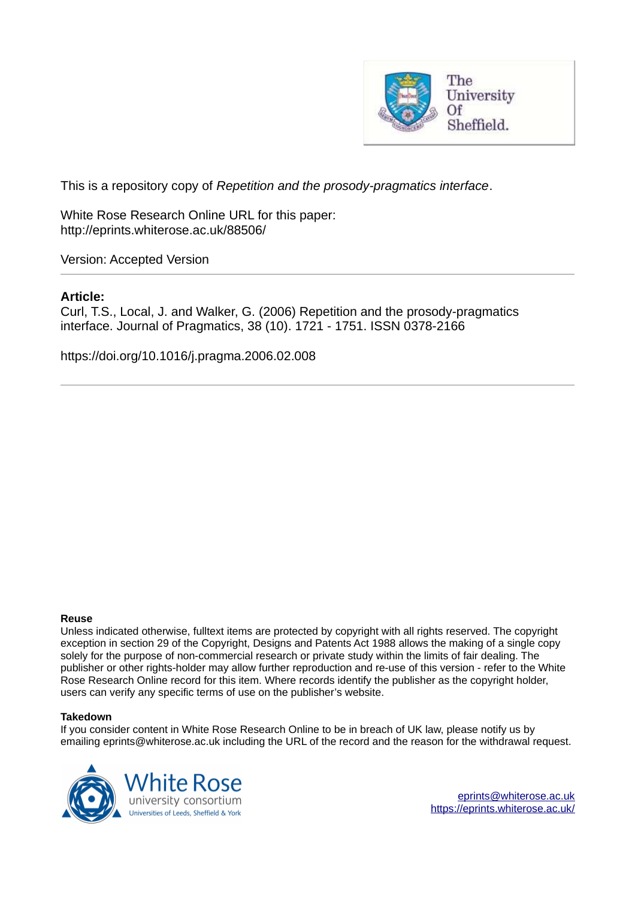

This is a repository copy of *Repetition and the prosody-pragmatics interface*.

White Rose Research Online URL for this paper: http://eprints.whiterose.ac.uk/88506/

Version: Accepted Version

## **Article:**

Curl, T.S., Local, J. and Walker, G. (2006) Repetition and the prosody-pragmatics interface. Journal of Pragmatics, 38 (10). 1721 - 1751. ISSN 0378-2166

https://doi.org/10.1016/j.pragma.2006.02.008

#### **Reuse**

Unless indicated otherwise, fulltext items are protected by copyright with all rights reserved. The copyright exception in section 29 of the Copyright, Designs and Patents Act 1988 allows the making of a single copy solely for the purpose of non-commercial research or private study within the limits of fair dealing. The publisher or other rights-holder may allow further reproduction and re-use of this version - refer to the White Rose Research Online record for this item. Where records identify the publisher as the copyright holder, users can verify any specific terms of use on the publisher's website.

#### **Takedown**

If you consider content in White Rose Research Online to be in breach of UK law, please notify us by emailing eprints@whiterose.ac.uk including the URL of the record and the reason for the withdrawal request.

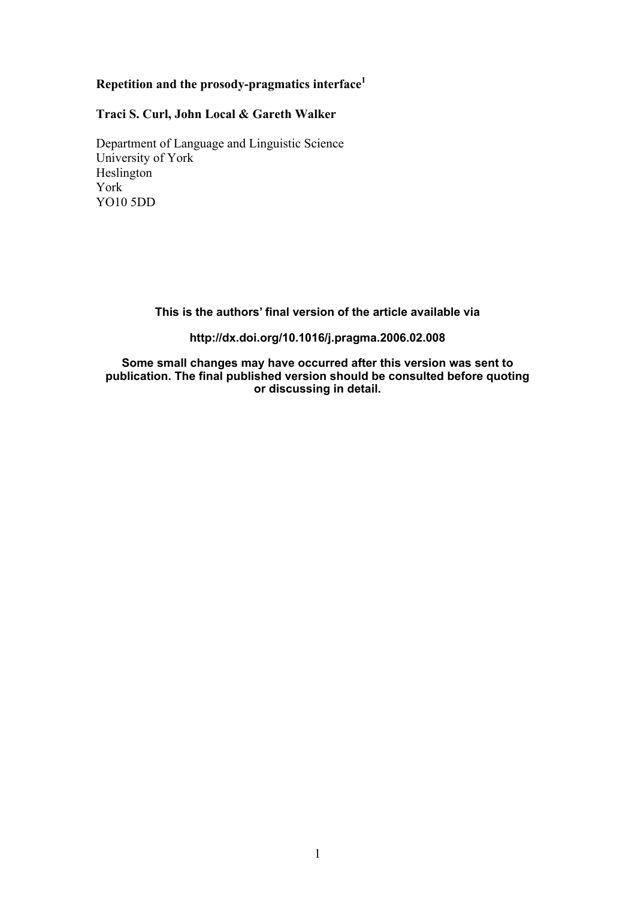# **Repetition and the prosody-pragmatics interface<sup>1</sup>**

## **Traci S. Curl, John Local & Gareth Walker**

Department of Language and Linguistic Science University of York Heslington York YO10 5DD

**This is the authors' final version of the article available via**

**http://dx.doi.org/10.1016/j.pragma.2006.02.008**

**Some small changes may have occurred after this version was sent to publication. The final published version should be consulted before quoting or discussing in detail.**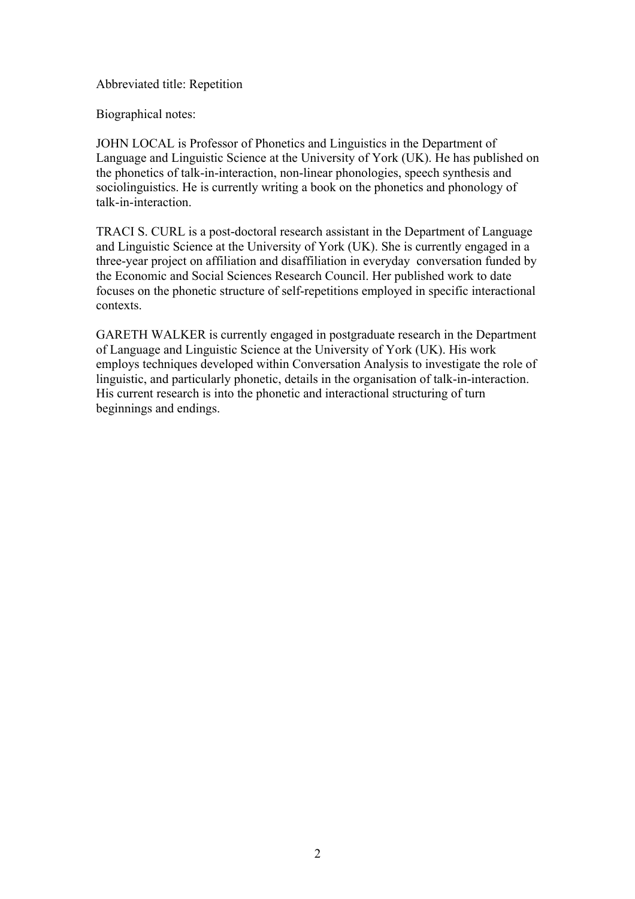## Abbreviated title: Repetition

Biographical notes:

JOHN LOCAL is Professor of Phonetics and Linguistics in the Department of Language and Linguistic Science at the University of York (UK). He has published on the phonetics of talk-in-interaction, non-linear phonologies, speech synthesis and sociolinguistics. He is currently writing a book on the phonetics and phonology of talk-in-interaction.

TRACI S. CURL is a post-doctoral research assistant in the Department of Language and Linguistic Science at the University of York (UK). She is currently engaged in a three-year project on affiliation and disaffiliation in everyday conversation funded by the Economic and Social Sciences Research Council. Her published work to date focuses on the phonetic structure of self-repetitions employed in specific interactional contexts.

GARETH WALKER is currently engaged in postgraduate research in the Department of Language and Linguistic Science at the University of York (UK). His work employs techniques developed within Conversation Analysis to investigate the role of linguistic, and particularly phonetic, details in the organisation of talk-in-interaction. His current research is into the phonetic and interactional structuring of turn beginnings and endings.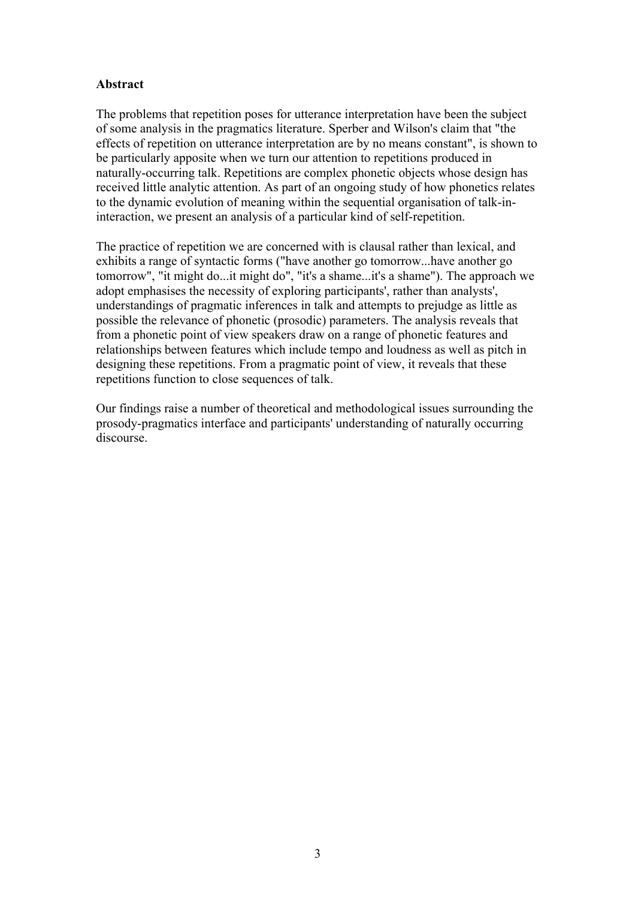## **Abstract**

The problems that repetition poses for utterance interpretation have been the subject of some analysis in the pragmatics literature. Sperber and Wilson's claim that "the effects of repetition on utterance interpretation are by no means constant", is shown to be particularly apposite when we turn our attention to repetitions produced in naturally-occurring talk. Repetitions are complex phonetic objects whose design has received little analytic attention. As part of an ongoing study of how phonetics relates to the dynamic evolution of meaning within the sequential organisation of talk-ininteraction, we present an analysis of a particular kind of self-repetition.

The practice of repetition we are concerned with is clausal rather than lexical, and exhibits a range of syntactic forms ("have another go tomorrow...have another go tomorrow", "it might do...it might do", "it's a shame...it's a shame"). The approach we adopt emphasises the necessity of exploring participants', rather than analysts', understandings of pragmatic inferences in talk and attempts to prejudge as little as possible the relevance of phonetic (prosodic) parameters. The analysis reveals that from a phonetic point of view speakers draw on a range of phonetic features and relationships between features which include tempo and loudness as well as pitch in designing these repetitions. From a pragmatic point of view, it reveals that these repetitions function to close sequences of talk.

Our findings raise a number of theoretical and methodological issues surrounding the prosody-pragmatics interface and participants' understanding of naturally occurring discourse.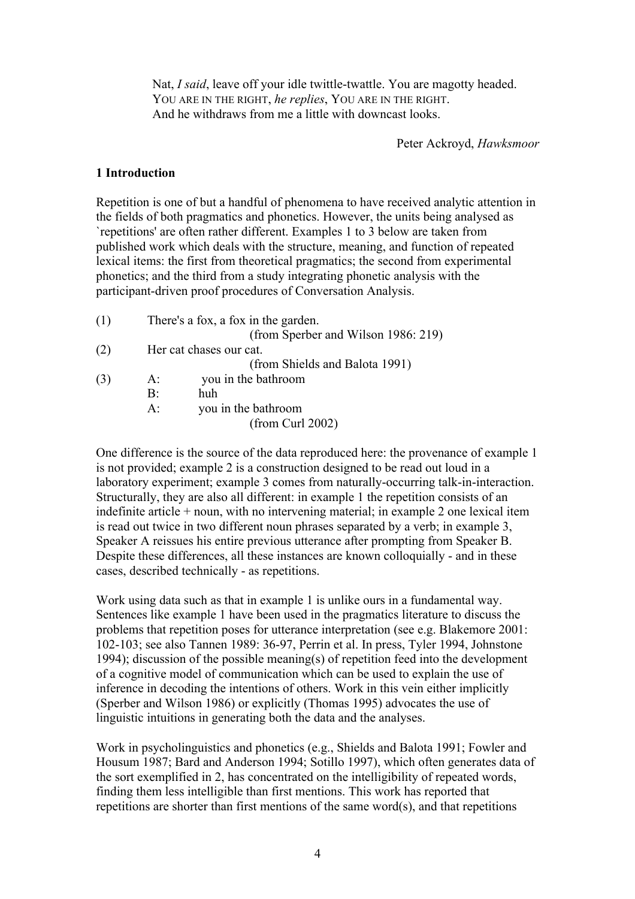Nat, *I said*, leave off your idle twittle-twattle. You are magotty headed. YOU ARE IN THE RIGHT, *he replies*, YOU ARE IN THE RIGHT. And he withdraws from me a little with downcast looks.

Peter Ackroyd, *Hawksmoor*

#### **1 Introduction**

Repetition is one of but a handful of phenomena to have received analytic attention in the fields of both pragmatics and phonetics. However, the units being analysed as `repetitions' are often rather different. Examples 1 to 3 below are taken from published work which deals with the structure, meaning, and function of repeated lexical items: the first from theoretical pragmatics; the second from experimental phonetics; and the third from a study integrating phonetic analysis with the participant-driven proof procedures of Conversation Analysis.

(1) There's a fox, a fox in the garden. (from Sperber and Wilson 1986: 219) (2) Her cat chases our cat. (from Shields and Balota 1991) (3) A: you in the bathroom B: huh A: you in the bathroom (from Curl 2002)

One difference is the source of the data reproduced here: the provenance of example 1 is not provided; example 2 is a construction designed to be read out loud in a laboratory experiment; example 3 comes from naturally-occurring talk-in-interaction. Structurally, they are also all different: in example 1 the repetition consists of an indefinite article + noun, with no intervening material; in example 2 one lexical item is read out twice in two different noun phrases separated by a verb; in example 3, Speaker A reissues his entire previous utterance after prompting from Speaker B. Despite these differences, all these instances are known colloquially - and in these cases, described technically - as repetitions.

Work using data such as that in example 1 is unlike ours in a fundamental way. Sentences like example 1 have been used in the pragmatics literature to discuss the problems that repetition poses for utterance interpretation (see e.g. Blakemore 2001: 102-103; see also Tannen 1989: 36-97, Perrin et al. In press, Tyler 1994, Johnstone 1994); discussion of the possible meaning(s) of repetition feed into the development of a cognitive model of communication which can be used to explain the use of inference in decoding the intentions of others. Work in this vein either implicitly (Sperber and Wilson 1986) or explicitly (Thomas 1995) advocates the use of linguistic intuitions in generating both the data and the analyses.

Work in psycholinguistics and phonetics (e.g., Shields and Balota 1991; Fowler and Housum 1987; Bard and Anderson 1994; Sotillo 1997), which often generates data of the sort exemplified in 2, has concentrated on the intelligibility of repeated words, finding them less intelligible than first mentions. This work has reported that repetitions are shorter than first mentions of the same word(s), and that repetitions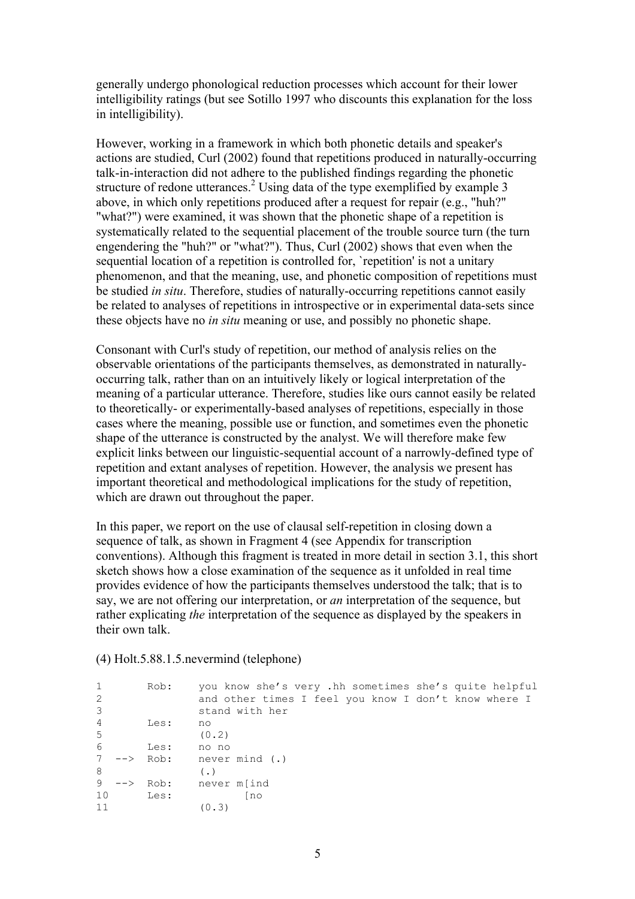generally undergo phonological reduction processes which account for their lower intelligibility ratings (but see Sotillo 1997 who discounts this explanation for the loss in intelligibility).

However, working in a framework in which both phonetic details and speaker's actions are studied, Curl (2002) found that repetitions produced in naturally-occurring talk-in-interaction did not adhere to the published findings regarding the phonetic structure of redone utterances.<sup>2</sup> Using data of the type exemplified by example 3 above, in which only repetitions produced after a request for repair (e.g., "huh?" "what?") were examined, it was shown that the phonetic shape of a repetition is systematically related to the sequential placement of the trouble source turn (the turn engendering the "huh?" or "what?"). Thus, Curl (2002) shows that even when the sequential location of a repetition is controlled for, `repetition' is not a unitary phenomenon, and that the meaning, use, and phonetic composition of repetitions must be studied *in situ*. Therefore, studies of naturally-occurring repetitions cannot easily be related to analyses of repetitions in introspective or in experimental data-sets since these objects have no *in situ* meaning or use, and possibly no phonetic shape.

Consonant with Curl's study of repetition, our method of analysis relies on the observable orientations of the participants themselves, as demonstrated in naturallyoccurring talk, rather than on an intuitively likely or logical interpretation of the meaning of a particular utterance. Therefore, studies like ours cannot easily be related to theoretically- or experimentally-based analyses of repetitions, especially in those cases where the meaning, possible use or function, and sometimes even the phonetic shape of the utterance is constructed by the analyst. We will therefore make few explicit links between our linguistic-sequential account of a narrowly-defined type of repetition and extant analyses of repetition. However, the analysis we present has important theoretical and methodological implications for the study of repetition, which are drawn out throughout the paper.

In this paper, we report on the use of clausal self-repetition in closing down a sequence of talk, as shown in Fragment 4 (see Appendix for transcription conventions). Although this fragment is treated in more detail in section 3.1, this short sketch shows how a close examination of the sequence as it unfolded in real time provides evidence of how the participants themselves understood the talk; that is to say, we are not offering our interpretation, or *an* interpretation of the sequence, but rather explicating *the* interpretation of the sequence as displayed by the speakers in their own talk.

(4) Holt.5.88.1.5.nevermind (telephone)

| $\mathbf{1}$ |       | Rob: | you know she's very .hh sometimes she's quite helpful |
|--------------|-------|------|-------------------------------------------------------|
| 2            |       |      | and other times I feel you know I don't know where I  |
| 3            |       |      | stand with her                                        |
| 4            |       | Les: | no                                                    |
| 5            |       |      | (0, 2)                                                |
| 6            |       | Les: | no no                                                 |
| 7            |       |      | $\leftarrow$ Rob: never mind (.)                      |
| 8            |       |      | $($ .)                                                |
| 9            | $-->$ | Rob: | never m[ind                                           |
| 10           |       | Les: | [no                                                   |
| 11           |       |      | (0.3)                                                 |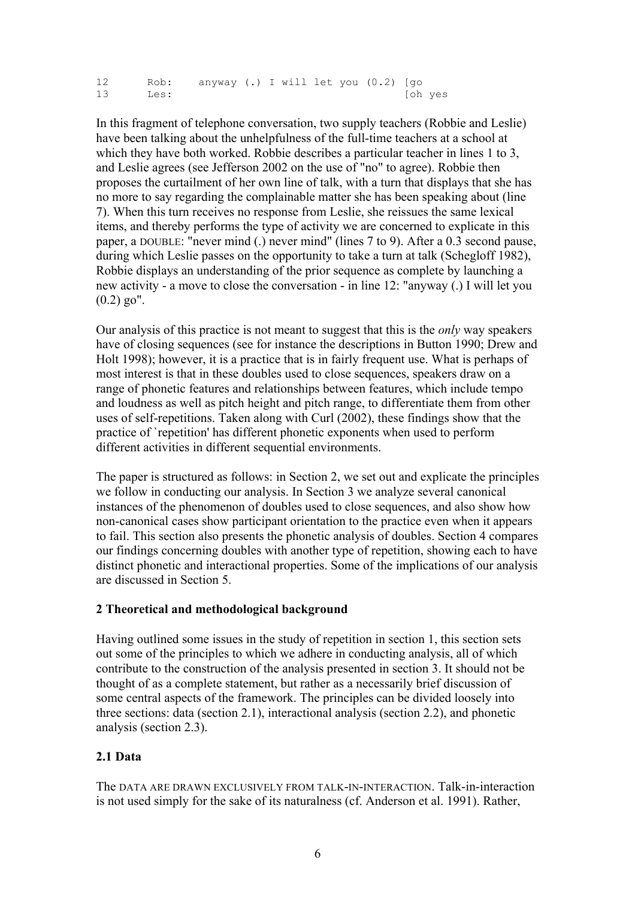12 Rob: anyway (.) I will let you (0.2) [go 13 Les: [oh yes

In this fragment of telephone conversation, two supply teachers (Robbie and Leslie) have been talking about the unhelpfulness of the full-time teachers at a school at which they have both worked. Robbie describes a particular teacher in lines 1 to 3, and Leslie agrees (see Jefferson 2002 on the use of "no" to agree). Robbie then proposes the curtailment of her own line of talk, with a turn that displays that she has no more to say regarding the complainable matter she has been speaking about (line 7). When this turn receives no response from Leslie, she reissues the same lexical items, and thereby performs the type of activity we are concerned to explicate in this paper, a DOUBLE: "never mind (.) never mind" (lines 7 to 9). After a 0.3 second pause, during which Leslie passes on the opportunity to take a turn at talk (Schegloff 1982), Robbie displays an understanding of the prior sequence as complete by launching a new activity - a move to close the conversation - in line 12: "anyway (.) I will let you  $(0.2)$  go".

Our analysis of this practice is not meant to suggest that this is the *only* way speakers have of closing sequences (see for instance the descriptions in Button 1990; Drew and Holt 1998); however, it is a practice that is in fairly frequent use. What is perhaps of most interest is that in these doubles used to close sequences, speakers draw on a range of phonetic features and relationships between features, which include tempo and loudness as well as pitch height and pitch range, to differentiate them from other uses of self-repetitions. Taken along with Curl (2002), these findings show that the practice of `repetition' has different phonetic exponents when used to perform different activities in different sequential environments.

The paper is structured as follows: in Section 2, we set out and explicate the principles we follow in conducting our analysis. In Section 3 we analyze several canonical instances of the phenomenon of doubles used to close sequences, and also show how non-canonical cases show participant orientation to the practice even when it appears to fail. This section also presents the phonetic analysis of doubles. Section 4 compares our findings concerning doubles with another type of repetition, showing each to have distinct phonetic and interactional properties. Some of the implications of our analysis are discussed in Section 5.

## **2 Theoretical and methodological background**

Having outlined some issues in the study of repetition in section 1, this section sets out some of the principles to which we adhere in conducting analysis, all of which contribute to the construction of the analysis presented in section 3. It should not be thought of as a complete statement, but rather as a necessarily brief discussion of some central aspects of the framework. The principles can be divided loosely into three sections: data (section 2.1), interactional analysis (section 2.2), and phonetic analysis (section 2.3).

## **2.1 Data**

The DATA ARE DRAWN EXCLUSIVELY FROM TALK-IN-INTERACTION. Talk-in-interaction is not used simply for the sake of its naturalness (cf. Anderson et al. 1991). Rather,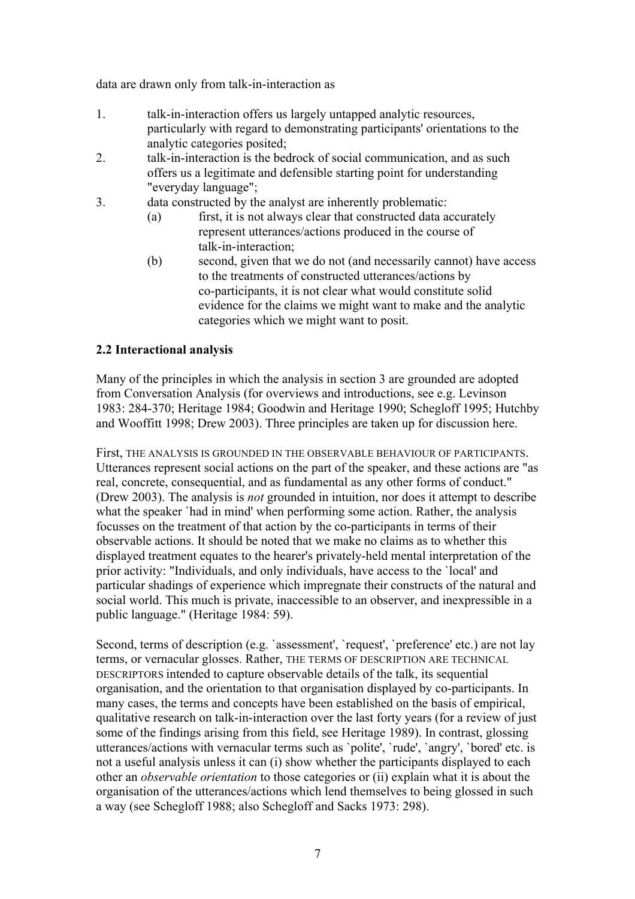data are drawn only from talk-in-interaction as

- 1. talk-in-interaction offers us largely untapped analytic resources, particularly with regard to demonstrating participants' orientations to the analytic categories posited;
- 2. talk-in-interaction is the bedrock of social communication, and as such offers us a legitimate and defensible starting point for understanding "everyday language";
- 3. data constructed by the analyst are inherently problematic:
	- (a) first, it is not always clear that constructed data accurately represent utterances/actions produced in the course of talk-in-interaction;
	- (b) second, given that we do not (and necessarily cannot) have access to the treatments of constructed utterances/actions by co-participants, it is not clear what would constitute solid evidence for the claims we might want to make and the analytic categories which we might want to posit.

## **2.2 Interactional analysis**

Many of the principles in which the analysis in section 3 are grounded are adopted from Conversation Analysis (for overviews and introductions, see e.g. Levinson 1983: 284-370; Heritage 1984; Goodwin and Heritage 1990; Schegloff 1995; Hutchby and Wooffitt 1998; Drew 2003). Three principles are taken up for discussion here.

First, THE ANALYSIS IS GROUNDED IN THE OBSERVABLE BEHAVIOUR OF PARTICIPANTS. Utterances represent social actions on the part of the speaker, and these actions are "as real, concrete, consequential, and as fundamental as any other forms of conduct." (Drew 2003). The analysis is *not* grounded in intuition, nor does it attempt to describe what the speaker `had in mind' when performing some action. Rather, the analysis focusses on the treatment of that action by the co-participants in terms of their observable actions. It should be noted that we make no claims as to whether this displayed treatment equates to the hearer's privately-held mental interpretation of the prior activity: "Individuals, and only individuals, have access to the `local' and particular shadings of experience which impregnate their constructs of the natural and social world. This much is private, inaccessible to an observer, and inexpressible in a public language." (Heritage 1984: 59).

Second, terms of description (e.g. 'assessment', 'request', 'preference' etc.) are not lay terms, or vernacular glosses. Rather, THE TERMS OF DESCRIPTION ARE TECHNICAL DESCRIPTORS intended to capture observable details of the talk, its sequential organisation, and the orientation to that organisation displayed by co-participants. In many cases, the terms and concepts have been established on the basis of empirical, qualitative research on talk-in-interaction over the last forty years (for a review of just some of the findings arising from this field, see Heritage 1989). In contrast, glossing utterances/actions with vernacular terms such as `polite', `rude', `angry', `bored' etc. is not a useful analysis unless it can (i) show whether the participants displayed to each other an *observable orientation* to those categories or (ii) explain what it is about the organisation of the utterances/actions which lend themselves to being glossed in such a way (see Schegloff 1988; also Schegloff and Sacks 1973: 298).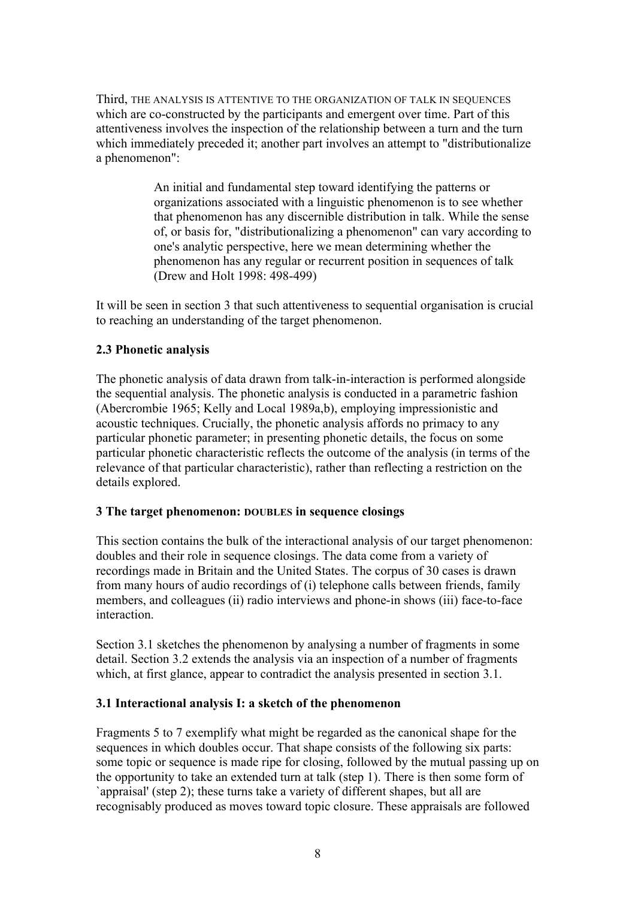Third, THE ANALYSIS IS ATTENTIVE TO THE ORGANIZATION OF TALK IN SEQUENCES which are co-constructed by the participants and emergent over time. Part of this attentiveness involves the inspection of the relationship between a turn and the turn which immediately preceded it; another part involves an attempt to "distributionalize" a phenomenon":

> An initial and fundamental step toward identifying the patterns or organizations associated with a linguistic phenomenon is to see whether that phenomenon has any discernible distribution in talk. While the sense of, or basis for, "distributionalizing a phenomenon" can vary according to one's analytic perspective, here we mean determining whether the phenomenon has any regular or recurrent position in sequences of talk (Drew and Holt 1998: 498-499)

It will be seen in section 3 that such attentiveness to sequential organisation is crucial to reaching an understanding of the target phenomenon.

## **2.3 Phonetic analysis**

The phonetic analysis of data drawn from talk-in-interaction is performed alongside the sequential analysis. The phonetic analysis is conducted in a parametric fashion (Abercrombie 1965; Kelly and Local 1989a,b), employing impressionistic and acoustic techniques. Crucially, the phonetic analysis affords no primacy to any particular phonetic parameter; in presenting phonetic details, the focus on some particular phonetic characteristic reflects the outcome of the analysis (in terms of the relevance of that particular characteristic), rather than reflecting a restriction on the details explored.

## **3 The target phenomenon: DOUBLES in sequence closings**

This section contains the bulk of the interactional analysis of our target phenomenon: doubles and their role in sequence closings. The data come from a variety of recordings made in Britain and the United States. The corpus of 30 cases is drawn from many hours of audio recordings of (i) telephone calls between friends, family members, and colleagues (ii) radio interviews and phone-in shows (iii) face-to-face interaction.

Section 3.1 sketches the phenomenon by analysing a number of fragments in some detail. Section 3.2 extends the analysis via an inspection of a number of fragments which, at first glance, appear to contradict the analysis presented in section 3.1.

# **3.1 Interactional analysis I: a sketch of the phenomenon**

Fragments 5 to 7 exemplify what might be regarded as the canonical shape for the sequences in which doubles occur. That shape consists of the following six parts: some topic or sequence is made ripe for closing, followed by the mutual passing up on the opportunity to take an extended turn at talk (step 1). There is then some form of `appraisal' (step 2); these turns take a variety of different shapes, but all are recognisably produced as moves toward topic closure. These appraisals are followed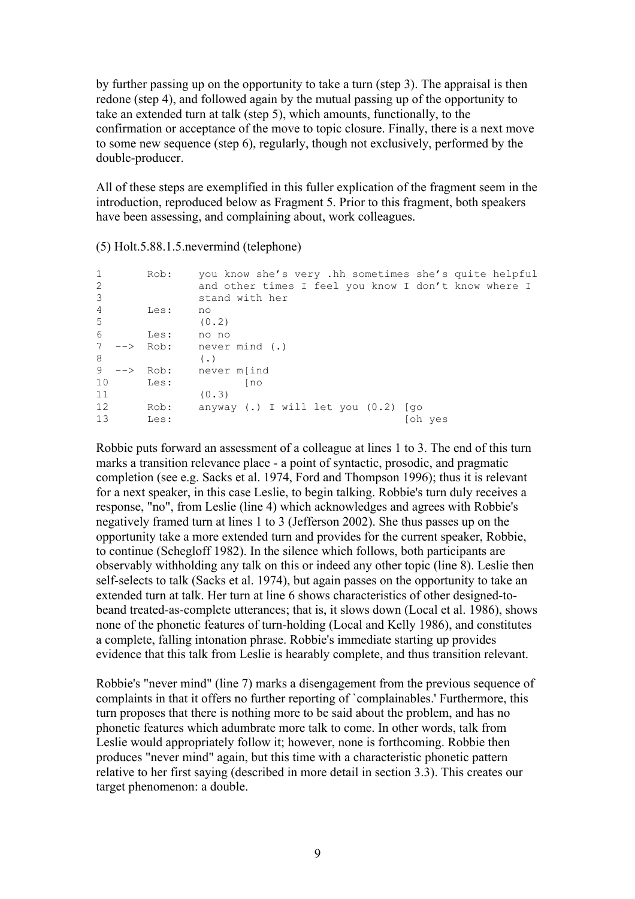by further passing up on the opportunity to take a turn (step 3). The appraisal is then redone (step 4), and followed again by the mutual passing up of the opportunity to take an extended turn at talk (step 5), which amounts, functionally, to the confirmation or acceptance of the move to topic closure. Finally, there is a next move to some new sequence (step 6), regularly, though not exclusively, performed by the double-producer.

All of these steps are exemplified in this fuller explication of the fragment seem in the introduction, reproduced below as Fragment 5. Prior to this fragment, both speakers have been assessing, and complaining about, work colleagues.

| 1<br>2<br>3    |                   | Rob: | you know she's very .hh sometimes she's quite helpful<br>and other times I feel you know I don't know where I<br>stand with her |         |
|----------------|-------------------|------|---------------------------------------------------------------------------------------------------------------------------------|---------|
| $\overline{4}$ |                   | Les: | no                                                                                                                              |         |
| -5             |                   |      | (0.2)                                                                                                                           |         |
| 6              |                   | Les: | no no                                                                                                                           |         |
| 7              | $\leftarrow$ Rob: |      | never mind (.)                                                                                                                  |         |
| 8              |                   |      | $($ .)                                                                                                                          |         |
| 9              | ——>               | Rob: | never m[ind                                                                                                                     |         |
| 10             |                   | Les: | [no                                                                                                                             |         |
| 11             |                   |      | (0.3)                                                                                                                           |         |
| 12             |                   | Rob: | anyway (.) I will let you $(0.2)$ [qo                                                                                           |         |
| 13             |                   | Les: |                                                                                                                                 | ⊺oh ves |

(5) Holt.5.88.1.5.nevermind (telephone)

Robbie puts forward an assessment of a colleague at lines 1 to 3. The end of this turn marks a transition relevance place - a point of syntactic, prosodic, and pragmatic completion (see e.g. Sacks et al. 1974, Ford and Thompson 1996); thus it is relevant for a next speaker, in this case Leslie, to begin talking. Robbie's turn duly receives a response, "no", from Leslie (line 4) which acknowledges and agrees with Robbie's negatively framed turn at lines 1 to 3 (Jefferson 2002). She thus passes up on the opportunity take a more extended turn and provides for the current speaker, Robbie, to continue (Schegloff 1982). In the silence which follows, both participants are observably withholding any talk on this or indeed any other topic (line 8). Leslie then self-selects to talk (Sacks et al. 1974), but again passes on the opportunity to take an extended turn at talk. Her turn at line 6 shows characteristics of other designed-tobeand treated-as-complete utterances; that is, it slows down (Local et al. 1986), shows none of the phonetic features of turn-holding (Local and Kelly 1986), and constitutes a complete, falling intonation phrase. Robbie's immediate starting up provides evidence that this talk from Leslie is hearably complete, and thus transition relevant.

Robbie's "never mind" (line 7) marks a disengagement from the previous sequence of complaints in that it offers no further reporting of `complainables.' Furthermore, this turn proposes that there is nothing more to be said about the problem, and has no phonetic features which adumbrate more talk to come. In other words, talk from Leslie would appropriately follow it; however, none is forthcoming. Robbie then produces "never mind" again, but this time with a characteristic phonetic pattern relative to her first saying (described in more detail in section 3.3). This creates our target phenomenon: a double.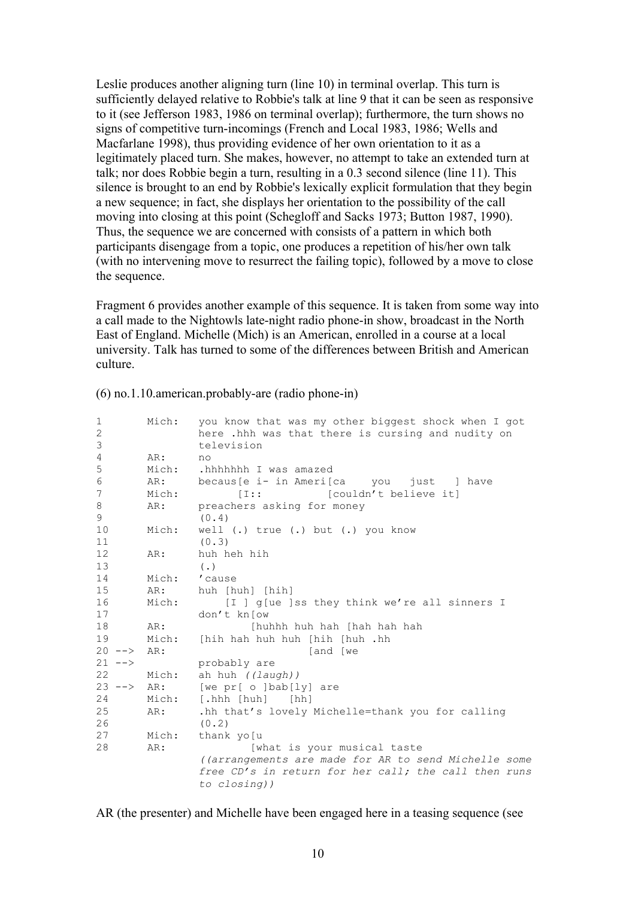Leslie produces another aligning turn (line 10) in terminal overlap. This turn is sufficiently delayed relative to Robbie's talk at line 9 that it can be seen as responsive to it (see Jefferson 1983, 1986 on terminal overlap); furthermore, the turn shows no signs of competitive turn-incomings (French and Local 1983, 1986; Wells and Macfarlane 1998), thus providing evidence of her own orientation to it as a legitimately placed turn. She makes, however, no attempt to take an extended turn at talk; nor does Robbie begin a turn, resulting in a 0.3 second silence (line 11). This silence is brought to an end by Robbie's lexically explicit formulation that they begin a new sequence; in fact, she displays her orientation to the possibility of the call moving into closing at this point (Schegloff and Sacks 1973; Button 1987, 1990). Thus, the sequence we are concerned with consists of a pattern in which both participants disengage from a topic, one produces a repetition of his/her own talk (with no intervening move to resurrect the failing topic), followed by a move to close the sequence.

Fragment 6 provides another example of this sequence. It is taken from some way into a call made to the Nightowls late-night radio phone-in show, broadcast in the North East of England. Michelle (Mich) is an American, enrolled in a course at a local university. Talk has turned to some of the differences between British and American culture.

| 1                   | Mich: | you know that was my other biggest shock when I got  |
|---------------------|-------|------------------------------------------------------|
| 2                   |       | here .hhh was that there is cursing and nudity on    |
| 3                   |       | television                                           |
| 4                   | AR:   | no                                                   |
| 5                   | Mich: | .hhhhhhh I was amazed                                |
| 6                   | AR:   | becaus [e i- in Ameri [ca you just ] have            |
| 7                   | Mich: | [I::]<br>[couldn't believe it]                       |
| 8                   | AR:   | preachers asking for money                           |
| 9                   |       | (0.4)                                                |
| 10                  | Mich: | well (.) true (.) but (.) you know                   |
| 11                  |       | (0.3)                                                |
| 12                  | AR:   | huh heh hih                                          |
| 13                  |       | $($ .)                                               |
| 14                  | Mich: | 'cause                                               |
| 15                  | AR:   | huh [huh] [hih]                                      |
| 16                  | Mich: | [I ] g[ue ]ss they think we're all sinners I         |
| 17                  |       | don't know                                           |
| 18                  | AR:   | [huhhh huh hah [hah hah hah                          |
| 19                  | Mich: | [hih hah huh huh [hih [huh .hh                       |
| $20 - - \ge$        | AR:   | and [we]                                             |
| $21 - -$            |       | probably are                                         |
| 22                  | Mich: | ah huh ((laugh))                                     |
| $23$ $\leftarrow$ > | AR:   | [we pr[ o ]bab[ly] are                               |
| 24                  | Mich: |                                                      |
| 25                  | AR:   | .hh that's lovely Michelle=thank you for calling     |
| 26                  |       | (0.2)                                                |
| 27                  | Mich: | thank yo [u                                          |
| 28                  | AR:   | [what is your musical taste                          |
|                     |       | ((arrangements are made for AR to send Michelle some |
|                     |       | free CD's in return for her call; the call then runs |
|                     |       | to closing))                                         |
|                     |       |                                                      |

(6) no.1.10.american.probably-are (radio phone-in)

AR (the presenter) and Michelle have been engaged here in a teasing sequence (see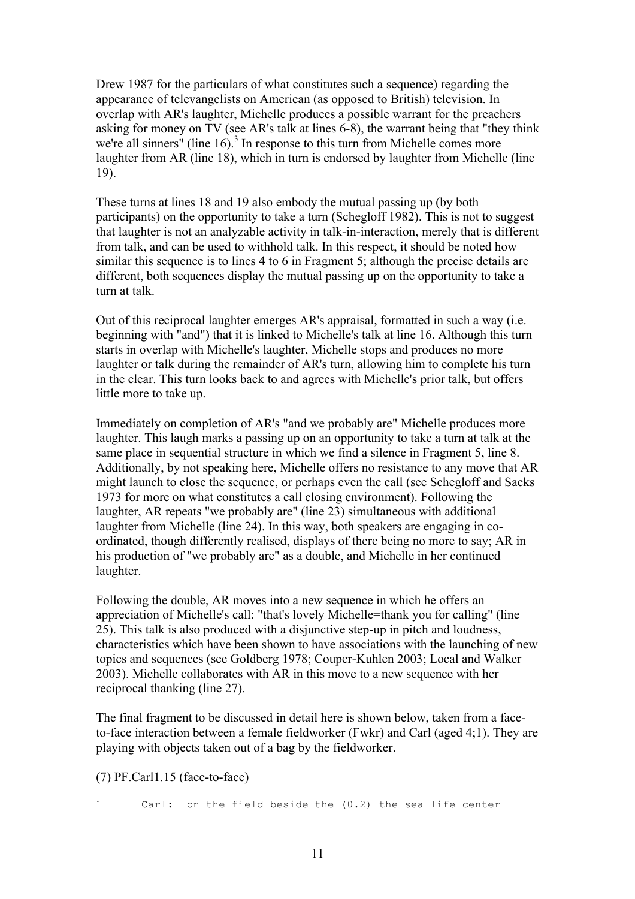Drew 1987 for the particulars of what constitutes such a sequence) regarding the appearance of televangelists on American (as opposed to British) television. In overlap with AR's laughter, Michelle produces a possible warrant for the preachers asking for money on TV (see AR's talk at lines 6-8), the warrant being that "they think we're all sinners" (line  $16$ ).<sup>3</sup> In response to this turn from Michelle comes more laughter from AR (line 18), which in turn is endorsed by laughter from Michelle (line 19).

These turns at lines 18 and 19 also embody the mutual passing up (by both participants) on the opportunity to take a turn (Schegloff 1982). This is not to suggest that laughter is not an analyzable activity in talk-in-interaction, merely that is different from talk, and can be used to withhold talk. In this respect, it should be noted how similar this sequence is to lines 4 to 6 in Fragment 5; although the precise details are different, both sequences display the mutual passing up on the opportunity to take a turn at talk.

Out of this reciprocal laughter emerges AR's appraisal, formatted in such a way (i.e. beginning with "and") that it is linked to Michelle's talk at line 16. Although this turn starts in overlap with Michelle's laughter, Michelle stops and produces no more laughter or talk during the remainder of AR's turn, allowing him to complete his turn in the clear. This turn looks back to and agrees with Michelle's prior talk, but offers little more to take up.

Immediately on completion of AR's "and we probably are" Michelle produces more laughter. This laugh marks a passing up on an opportunity to take a turn at talk at the same place in sequential structure in which we find a silence in Fragment 5, line 8. Additionally, by not speaking here, Michelle offers no resistance to any move that AR might launch to close the sequence, or perhaps even the call (see Schegloff and Sacks 1973 for more on what constitutes a call closing environment). Following the laughter, AR repeats "we probably are" (line 23) simultaneous with additional laughter from Michelle (line 24). In this way, both speakers are engaging in coordinated, though differently realised, displays of there being no more to say; AR in his production of "we probably are" as a double, and Michelle in her continued laughter.

Following the double, AR moves into a new sequence in which he offers an appreciation of Michelle's call: "that's lovely Michelle=thank you for calling" (line 25). This talk is also produced with a disjunctive step-up in pitch and loudness, characteristics which have been shown to have associations with the launching of new topics and sequences (see Goldberg 1978; Couper-Kuhlen 2003; Local and Walker 2003). Michelle collaborates with AR in this move to a new sequence with her reciprocal thanking (line 27).

The final fragment to be discussed in detail here is shown below, taken from a faceto-face interaction between a female fieldworker (Fwkr) and Carl (aged 4;1). They are playing with objects taken out of a bag by the fieldworker.

(7) PF.Carl1.15 (face-to-face)

1 Carl: on the field beside the (0.2) the sea life center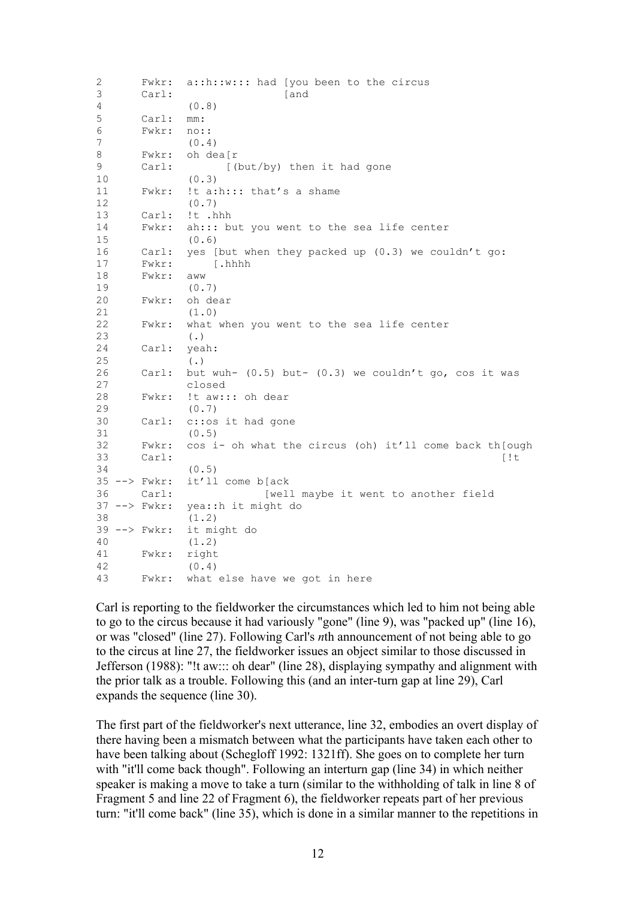| 2<br>3 | Fwkr:<br>Carl:                 | a::h::w::: had [you been to the circus<br>[and           |
|--------|--------------------------------|----------------------------------------------------------|
| 4      |                                | (0.8)                                                    |
| 5      | Carl:                          | mm:                                                      |
| 6      | Fwkr:                          | $no:$ :                                                  |
| 7      |                                | (0.4)                                                    |
| 8      | Fwkr:                          | oh dea[r                                                 |
| 9      | Carl:                          | [(but/by) then it had gone                               |
| 10     |                                | (0.3)                                                    |
| 11     | Fwkr:                          | !t a:h::: that's a shame                                 |
| 12     |                                | (0.7)                                                    |
| 13     | Carl:                          | !t .hhh                                                  |
| 14     | Fwkr:                          | ah::: but you went to the sea life center                |
| 15     |                                | (0.6)                                                    |
| 16     | Carl:                          | yes [but when they packed up (0.3) we couldn't go:       |
| 17     | Fwkr:                          | [.hhhh                                                   |
| 18     | Fwkr:                          | aww                                                      |
| 19     |                                | (0.7)                                                    |
| 20     | Fwkr:                          | oh dear                                                  |
| 21     |                                | (1.0)                                                    |
| 22     | Fwkr:                          | what when you went to the sea life center                |
| 23     |                                | $(\cdot)$                                                |
| 24     | Carl:                          | yeah:                                                    |
| 25     |                                | $(\cdot)$                                                |
| 26     | Carl:                          | but wuh- $(0.5)$ but- $(0.3)$ we couldn't go, cos it was |
| 27     |                                | closed                                                   |
| 28     | Fwkr:                          | !t aw::: oh dear                                         |
| 29     |                                | (0.7)                                                    |
| 30     | Carl:                          | c:: os it had gone                                       |
| 31     |                                | (0.5)                                                    |
| 32     | Fwkr:                          | cos i- oh what the circus (oh) it'll come back th[ough   |
| 33     | Carl:                          | [!t]                                                     |
| 34     |                                | (0.5)                                                    |
|        | $35$ $\leftarrow$ $>$ $FWkr$ : | it'll come b[ack                                         |
| 36     | Carl:                          | [well maybe it went to another field                     |
|        | $37$ $\leftarrow$ $>$ $FWkr$ : | yea::h it might do                                       |
| 38     |                                | (1.2)                                                    |
|        | $39$ --> Fwkr:                 | it might do                                              |
| 40     |                                | (1.2)                                                    |
| 41     | Fwkr:                          | right                                                    |
| 42     |                                | (0.4)                                                    |
| 43     | Fwkr:                          | what else have we got in here                            |

Carl is reporting to the fieldworker the circumstances which led to him not being able to go to the circus because it had variously "gone" (line 9), was "packed up" (line 16), or was "closed" (line 27). Following Carl's *n*th announcement of not being able to go to the circus at line 27, the fieldworker issues an object similar to those discussed in Jefferson (1988): "!t aw::: oh dear" (line 28), displaying sympathy and alignment with the prior talk as a trouble. Following this (and an inter-turn gap at line 29), Carl expands the sequence (line 30).

The first part of the fieldworker's next utterance, line 32, embodies an overt display of there having been a mismatch between what the participants have taken each other to have been talking about (Schegloff 1992: 1321ff). She goes on to complete her turn with "it'll come back though". Following an interturn gap (line 34) in which neither speaker is making a move to take a turn (similar to the withholding of talk in line 8 of Fragment 5 and line 22 of Fragment 6), the fieldworker repeats part of her previous turn: "it'll come back" (line 35), which is done in a similar manner to the repetitions in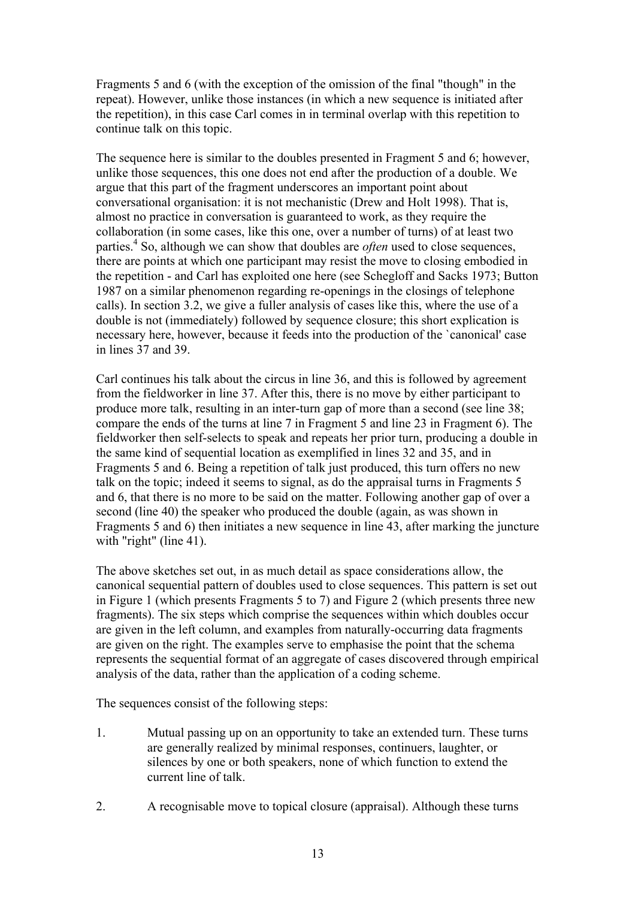Fragments 5 and 6 (with the exception of the omission of the final "though" in the repeat). However, unlike those instances (in which a new sequence is initiated after the repetition), in this case Carl comes in in terminal overlap with this repetition to continue talk on this topic.

The sequence here is similar to the doubles presented in Fragment 5 and 6; however, unlike those sequences, this one does not end after the production of a double. We argue that this part of the fragment underscores an important point about conversational organisation: it is not mechanistic (Drew and Holt 1998). That is, almost no practice in conversation is guaranteed to work, as they require the collaboration (in some cases, like this one, over a number of turns) of at least two parties.<sup>4</sup> So, although we can show that doubles are *often* used to close sequences, there are points at which one participant may resist the move to closing embodied in the repetition - and Carl has exploited one here (see Schegloff and Sacks 1973; Button 1987 on a similar phenomenon regarding re-openings in the closings of telephone calls). In section 3.2, we give a fuller analysis of cases like this, where the use of a double is not (immediately) followed by sequence closure; this short explication is necessary here, however, because it feeds into the production of the 'canonical' case in lines 37 and 39.

Carl continues his talk about the circus in line 36, and this is followed by agreement from the fieldworker in line 37. After this, there is no move by either participant to produce more talk, resulting in an inter-turn gap of more than a second (see line 38; compare the ends of the turns at line 7 in Fragment 5 and line 23 in Fragment 6). The fieldworker then self-selects to speak and repeats her prior turn, producing a double in the same kind of sequential location as exemplified in lines 32 and 35, and in Fragments 5 and 6. Being a repetition of talk just produced, this turn offers no new talk on the topic; indeed it seems to signal, as do the appraisal turns in Fragments 5 and 6, that there is no more to be said on the matter. Following another gap of over a second (line 40) the speaker who produced the double (again, as was shown in Fragments 5 and 6) then initiates a new sequence in line 43, after marking the juncture with "right" (line 41).

The above sketches set out, in as much detail as space considerations allow, the canonical sequential pattern of doubles used to close sequences. This pattern is set out in Figure 1 (which presents Fragments 5 to 7) and Figure 2 (which presents three new fragments). The six steps which comprise the sequences within which doubles occur are given in the left column, and examples from naturally-occurring data fragments are given on the right. The examples serve to emphasise the point that the schema represents the sequential format of an aggregate of cases discovered through empirical analysis of the data, rather than the application of a coding scheme.

The sequences consist of the following steps:

- 1. Mutual passing up on an opportunity to take an extended turn. These turns are generally realized by minimal responses, continuers, laughter, or silences by one or both speakers, none of which function to extend the current line of talk.
- 2. A recognisable move to topical closure (appraisal). Although these turns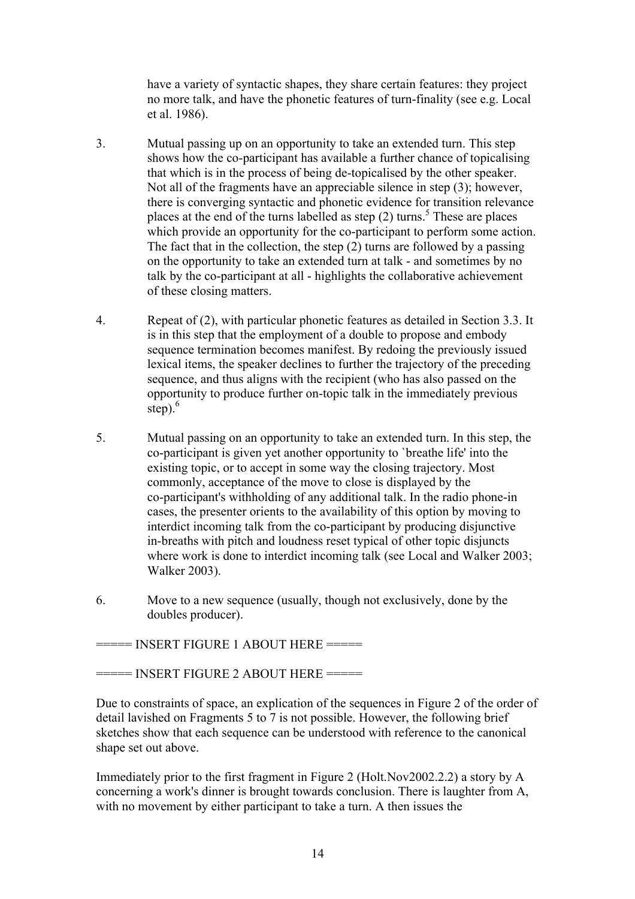have a variety of syntactic shapes, they share certain features: they project no more talk, and have the phonetic features of turn-finality (see e.g. Local et al. 1986).

- 3. Mutual passing up on an opportunity to take an extended turn. This step shows how the co-participant has available a further chance of topicalising that which is in the process of being de-topicalised by the other speaker. Not all of the fragments have an appreciable silence in step (3); however, there is converging syntactic and phonetic evidence for transition relevance places at the end of the turns labelled as step  $(2)$  turns.<sup>5</sup> These are places which provide an opportunity for the co-participant to perform some action. The fact that in the collection, the step  $(2)$  turns are followed by a passing on the opportunity to take an extended turn at talk - and sometimes by no talk by the co-participant at all - highlights the collaborative achievement of these closing matters.
- 4. Repeat of (2), with particular phonetic features as detailed in Section 3.3. It is in this step that the employment of a double to propose and embody sequence termination becomes manifest. By redoing the previously issued lexical items, the speaker declines to further the trajectory of the preceding sequence, and thus aligns with the recipient (who has also passed on the opportunity to produce further on-topic talk in the immediately previous step $)$ .<sup>6</sup>
- 5. Mutual passing on an opportunity to take an extended turn. In this step, the co-participant is given yet another opportunity to `breathe life' into the existing topic, or to accept in some way the closing trajectory. Most commonly, acceptance of the move to close is displayed by the co-participant's withholding of any additional talk. In the radio phone-in cases, the presenter orients to the availability of this option by moving to interdict incoming talk from the co-participant by producing disjunctive in-breaths with pitch and loudness reset typical of other topic disjuncts where work is done to interdict incoming talk (see Local and Walker 2003; Walker 2003).
- 6. Move to a new sequence (usually, though not exclusively, done by the doubles producer).

===== INSERT FIGURE 1 ABOUT HERE ======

 $=$  INSERT FIGURE 2 ABOUT HERE  $=$ 

Due to constraints of space, an explication of the sequences in Figure 2 of the order of detail lavished on Fragments 5 to 7 is not possible. However, the following brief sketches show that each sequence can be understood with reference to the canonical shape set out above.

Immediately prior to the first fragment in Figure 2 (Holt.Nov2002.2.2) a story by A concerning a work's dinner is brought towards conclusion. There is laughter from A, with no movement by either participant to take a turn. A then issues the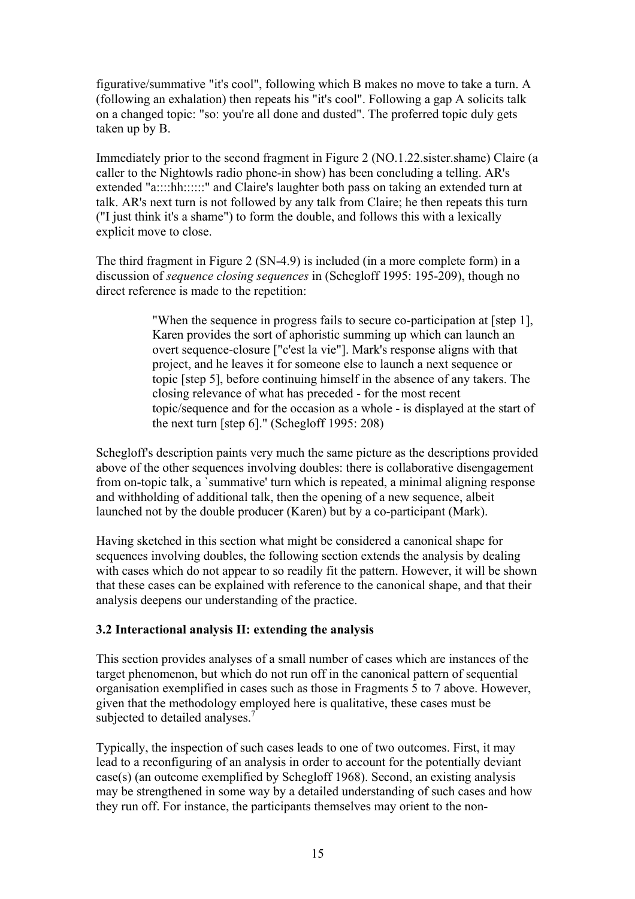figurative/summative "it's cool", following which B makes no move to take a turn. A (following an exhalation) then repeats his "it's cool". Following a gap A solicits talk on a changed topic: "so: you're all done and dusted". The proferred topic duly gets taken up by B.

Immediately prior to the second fragment in Figure 2 (NO.1.22.sister.shame) Claire (a caller to the Nightowls radio phone-in show) has been concluding a telling. AR's extended "a::::hh::::::" and Claire's laughter both pass on taking an extended turn at talk. AR's next turn is not followed by any talk from Claire; he then repeats this turn ("I just think it's a shame") to form the double, and follows this with a lexically explicit move to close.

The third fragment in Figure 2 (SN-4.9) is included (in a more complete form) in a discussion of *sequence closing sequences* in (Schegloff 1995: 195-209), though no direct reference is made to the repetition:

> "When the sequence in progress fails to secure co-participation at [step 1], Karen provides the sort of aphoristic summing up which can launch an overt sequence-closure ["c'est la vie"]. Mark's response aligns with that project, and he leaves it for someone else to launch a next sequence or topic [step 5], before continuing himself in the absence of any takers. The closing relevance of what has preceded - for the most recent topic/sequence and for the occasion as a whole - is displayed at the start of the next turn [step 6]." (Schegloff 1995: 208)

Schegloff's description paints very much the same picture as the descriptions provided above of the other sequences involving doubles: there is collaborative disengagement from on-topic talk, a `summative' turn which is repeated, a minimal aligning response and withholding of additional talk, then the opening of a new sequence, albeit launched not by the double producer (Karen) but by a co-participant (Mark).

Having sketched in this section what might be considered a canonical shape for sequences involving doubles, the following section extends the analysis by dealing with cases which do not appear to so readily fit the pattern. However, it will be shown that these cases can be explained with reference to the canonical shape, and that their analysis deepens our understanding of the practice.

## **3.2 Interactional analysis II: extending the analysis**

This section provides analyses of a small number of cases which are instances of the target phenomenon, but which do not run off in the canonical pattern of sequential organisation exemplified in cases such as those in Fragments 5 to 7 above. However, given that the methodology employed here is qualitative, these cases must be subjected to detailed analyses.<sup>7</sup>

Typically, the inspection of such cases leads to one of two outcomes. First, it may lead to a reconfiguring of an analysis in order to account for the potentially deviant case(s) (an outcome exemplified by Schegloff 1968). Second, an existing analysis may be strengthened in some way by a detailed understanding of such cases and how they run off. For instance, the participants themselves may orient to the non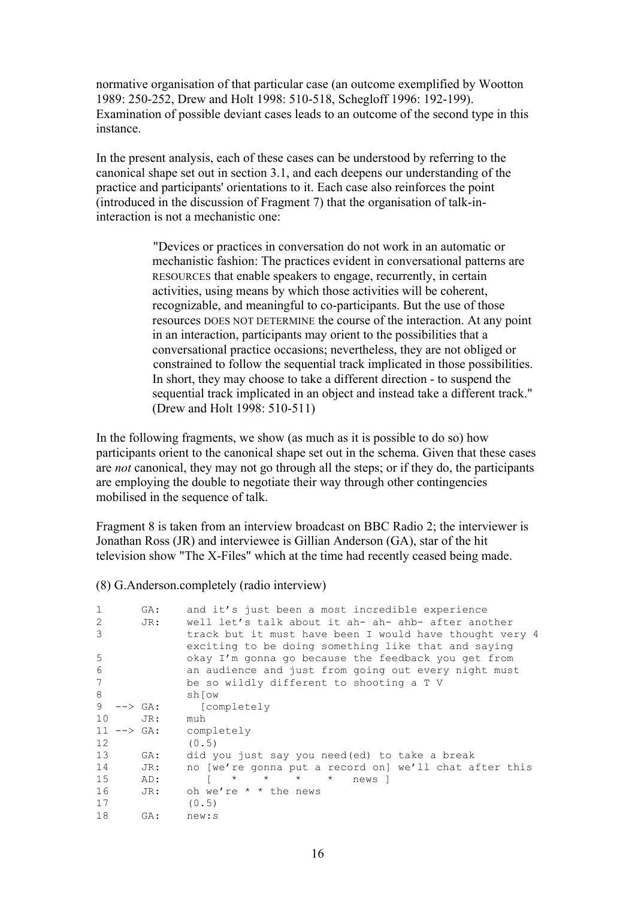normative organisation of that particular case (an outcome exemplified by Wootton 1989: 250-252, Drew and Holt 1998: 510-518, Schegloff 1996: 192-199). Examination of possible deviant cases leads to an outcome of the second type in this instance.

In the present analysis, each of these cases can be understood by referring to the canonical shape set out in section 3.1, and each deepens our understanding of the practice and participants' orientations to it. Each case also reinforces the point (introduced in the discussion of Fragment 7) that the organisation of talk-ininteraction is not a mechanistic one:

> "Devices or practices in conversation do not work in an automatic or mechanistic fashion: The practices evident in conversational patterns are RESOURCES that enable speakers to engage, recurrently, in certain activities, using means by which those activities will be coherent, recognizable, and meaningful to co-participants. But the use of those resources DOES NOT DETERMINE the course of the interaction. At any point in an interaction, participants may orient to the possibilities that a conversational practice occasions; nevertheless, they are not obliged or constrained to follow the sequential track implicated in those possibilities. In short, they may choose to take a different direction - to suspend the sequential track implicated in an object and instead take a different track." (Drew and Holt 1998: 510-511)

In the following fragments, we show (as much as it is possible to do so) how participants orient to the canonical shape set out in the schema. Given that these cases are *not* canonical, they may not go through all the steps; or if they do, the participants are employing the double to negotiate their way through other contingencies mobilised in the sequence of talk.

Fragment 8 is taken from an interview broadcast on BBC Radio 2; the interviewer is Jonathan Ross (JR) and interviewee is Gillian Anderson (GA), star of the hit television show "The X-Files" which at the time had recently ceased being made.

(8) G.Anderson.completely (radio interview)

| $\mathbf{1}$ |                                                       | GA: | and it's just been a most incredible experience         |
|--------------|-------------------------------------------------------|-----|---------------------------------------------------------|
| 2            |                                                       | JR: | well let's talk about it ah- ah- ahb- after another     |
| 3            |                                                       |     | track but it must have been I would have thought very 4 |
|              |                                                       |     | exciting to be doing something like that and saying     |
| 5            |                                                       |     | okay I'm gonna go because the feedback you get from     |
| 6            |                                                       |     | an audience and just from going out every night must    |
| 7            |                                                       |     | be so wildly different to shooting a T V                |
| 8            |                                                       |     | shiow                                                   |
| 9            | $\leftarrow$ $\rightarrow$ $\left(\text{GA}\right)$ : |     | [completely                                             |
| 10           |                                                       | JR: | muh                                                     |
|              | $11$ $\leftarrow$ $\rightarrow$ $GA$ :                |     | completely                                              |
| 12           |                                                       |     | (0.5)                                                   |
| 13           |                                                       | GA: | did you just say you need (ed) to take a break          |
| 14           |                                                       | JR: | no [we're gonna put a record on] we'll chat after this  |
| 15           |                                                       | AD: | $\star$ $\star$<br>$\star$<br>$\star$<br>news 1         |
| 16           |                                                       | JR: | oh we're $*$ * the news                                 |
| 17           |                                                       |     | (0.5)                                                   |
| 18           |                                                       | GA: | new:s                                                   |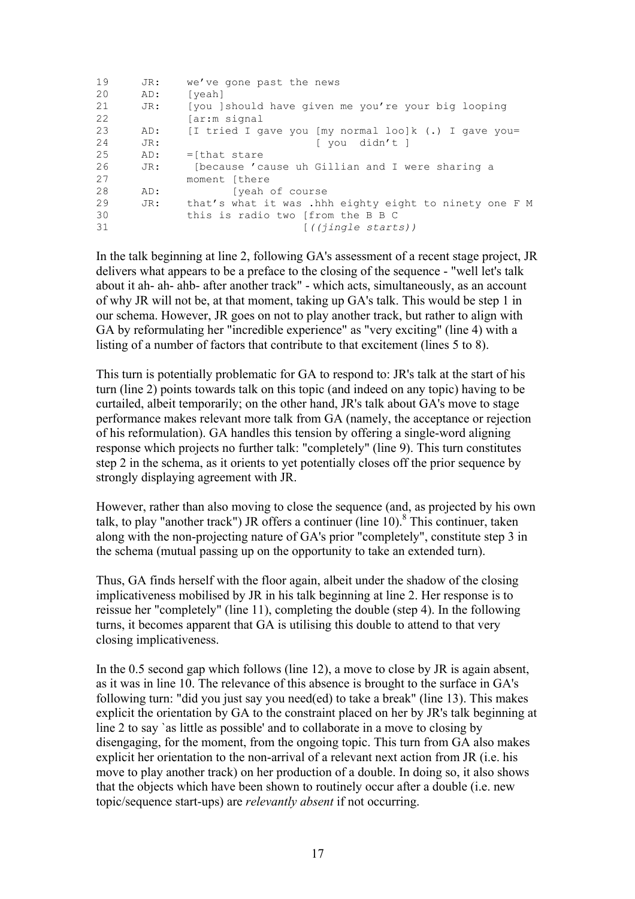| 19 | JR: | we've gone past the news                               |
|----|-----|--------------------------------------------------------|
| 20 | AD: | [yeah]                                                 |
| 21 | JR: | [you ] should have given me you're your big looping    |
| 22 |     | far:m signal                                           |
| 23 | AD: | [I tried I gave you [my normal loo]k $(.)$ I gave you= |
| 24 | JR: | [ you didn't ]                                         |
| 25 | AD: | $=$ [that stare                                        |
| 26 | JR: | [because 'cause uh Gillian and I were sharing a        |
| 27 |     | moment [there                                          |
| 28 | AD: | (yeah of course                                        |
| 29 | JR: | that's what it was .hhh eighty eight to ninety one F M |
| 30 |     | this is radio two [from the B B C                      |
| 31 |     | [((jingle starts))                                     |

In the talk beginning at line 2, following GA's assessment of a recent stage project, JR delivers what appears to be a preface to the closing of the sequence - "well let's talk about it ah- ah- ahb- after another track" - which acts, simultaneously, as an account of why JR will not be, at that moment, taking up GA's talk. This would be step 1 in our schema. However, JR goes on not to play another track, but rather to align with GA by reformulating her "incredible experience" as "very exciting" (line 4) with a listing of a number of factors that contribute to that excitement (lines 5 to 8).

This turn is potentially problematic for GA to respond to: JR's talk at the start of his turn (line 2) points towards talk on this topic (and indeed on any topic) having to be curtailed, albeit temporarily; on the other hand, JR's talk about GA's move to stage performance makes relevant more talk from GA (namely, the acceptance or rejection of his reformulation). GA handles this tension by offering a single-word aligning response which projects no further talk: "completely" (line 9). This turn constitutes step 2 in the schema, as it orients to yet potentially closes off the prior sequence by strongly displaying agreement with JR.

However, rather than also moving to close the sequence (and, as projected by his own talk, to play "another track") JR offers a continuer (line  $10$ ).<sup>8</sup> This continuer, taken along with the non-projecting nature of GA's prior "completely", constitute step 3 in the schema (mutual passing up on the opportunity to take an extended turn).

Thus, GA finds herself with the floor again, albeit under the shadow of the closing implicativeness mobilised by JR in his talk beginning at line 2. Her response is to reissue her "completely" (line 11), completing the double (step 4). In the following turns, it becomes apparent that GA is utilising this double to attend to that very closing implicativeness.

In the 0.5 second gap which follows (line 12), a move to close by JR is again absent, as it was in line 10. The relevance of this absence is brought to the surface in GA's following turn: "did you just say you need(ed) to take a break" (line 13). This makes explicit the orientation by GA to the constraint placed on her by JR's talk beginning at line 2 to say `as little as possible' and to collaborate in a move to closing by disengaging, for the moment, from the ongoing topic. This turn from GA also makes explicit her orientation to the non-arrival of a relevant next action from JR (i.e. his move to play another track) on her production of a double. In doing so, it also shows that the objects which have been shown to routinely occur after a double (i.e. new topic/sequence start-ups) are *relevantly absent* if not occurring.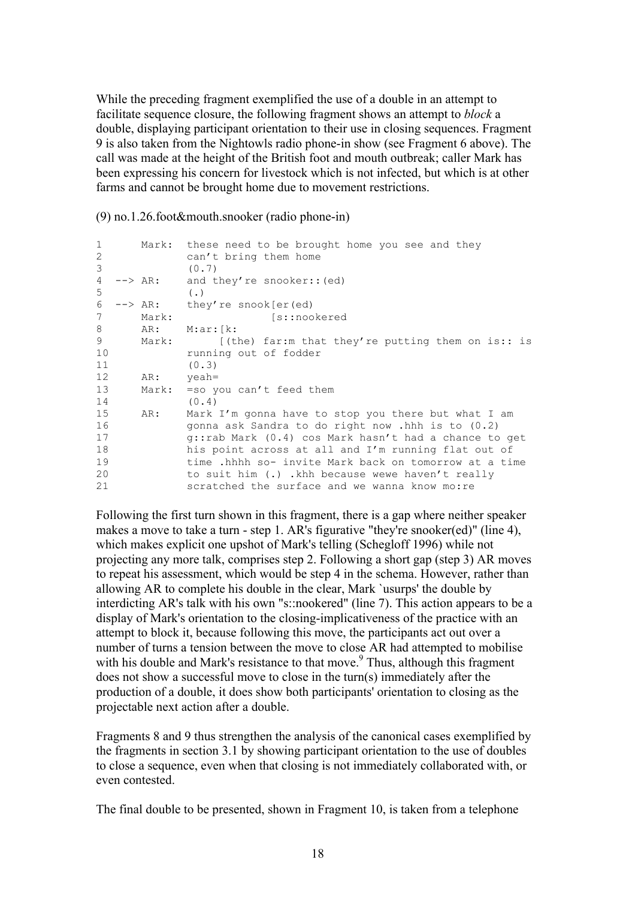While the preceding fragment exemplified the use of a double in an attempt to facilitate sequence closure, the following fragment shows an attempt to *block* a double, displaying participant orientation to their use in closing sequences. Fragment 9 is also taken from the Nightowls radio phone-in show (see Fragment 6 above). The call was made at the height of the British foot and mouth outbreak; caller Mark has been expressing his concern for livestock which is not infected, but which is at other farms and cannot be brought home due to movement restrictions.

(9) no.1.26.foot&mouth.snooker (radio phone-in)

| $\mathbf{1}$<br>2<br>3 |           | Mark: these need to be brought home you see and they<br>can't bring them home<br>(0.7) |
|------------------------|-----------|----------------------------------------------------------------------------------------|
| 4<br>5                 |           | $\leftarrow$ > AR: and they're snooker:: (ed)<br>$(\cdot, \cdot)$                      |
| 6                      |           | $\leftarrow$ > AR: they're snook[er(ed)                                                |
| 7                      | Mark:     | [s::nookered                                                                           |
| 8                      | AR:       | M:ar:[k:                                                                               |
| 9                      | Mark:     | $(the)$ far:m that they're putting them on is:: is                                     |
| 10                     |           | running out of fodder                                                                  |
| 11                     |           | (0.3)                                                                                  |
| 12 <sup>2</sup>        | AR: yeah= |                                                                                        |
| 13                     |           | Mark: = so you can't feed them                                                         |
| 14                     |           | (0.4)                                                                                  |
| 15                     | AR:       | Mark I'm gonna have to stop you there but what I am                                    |
| 16                     |           | gonna ask Sandra to do right now .hhh is to $(0.2)$                                    |
| 17                     |           | q::rab Mark (0.4) cos Mark hasn't had a chance to get                                  |
| 18                     |           | his point across at all and I'm running flat out of                                    |
| 19                     |           | time .hhhh so- invite Mark back on tomorrow at a time                                  |
| 20                     |           | to suit him (.) .khh because wewe haven't really                                       |
| 21                     |           | scratched the surface and we wanna know mo:re                                          |

Following the first turn shown in this fragment, there is a gap where neither speaker makes a move to take a turn - step 1. AR's figurative "they're snooker(ed)" (line 4), which makes explicit one upshot of Mark's telling (Schegloff 1996) while not projecting any more talk, comprises step 2. Following a short gap (step 3) AR moves to repeat his assessment, which would be step 4 in the schema. However, rather than allowing AR to complete his double in the clear, Mark `usurps' the double by interdicting AR's talk with his own "s::nookered" (line 7). This action appears to be a display of Mark's orientation to the closing-implicativeness of the practice with an attempt to block it, because following this move, the participants act out over a number of turns a tension between the move to close AR had attempted to mobilise with his double and Mark's resistance to that move.<sup>9</sup> Thus, although this fragment does not show a successful move to close in the turn(s) immediately after the production of a double, it does show both participants' orientation to closing as the projectable next action after a double.

Fragments 8 and 9 thus strengthen the analysis of the canonical cases exemplified by the fragments in section 3.1 by showing participant orientation to the use of doubles to close a sequence, even when that closing is not immediately collaborated with, or even contested.

The final double to be presented, shown in Fragment 10, is taken from a telephone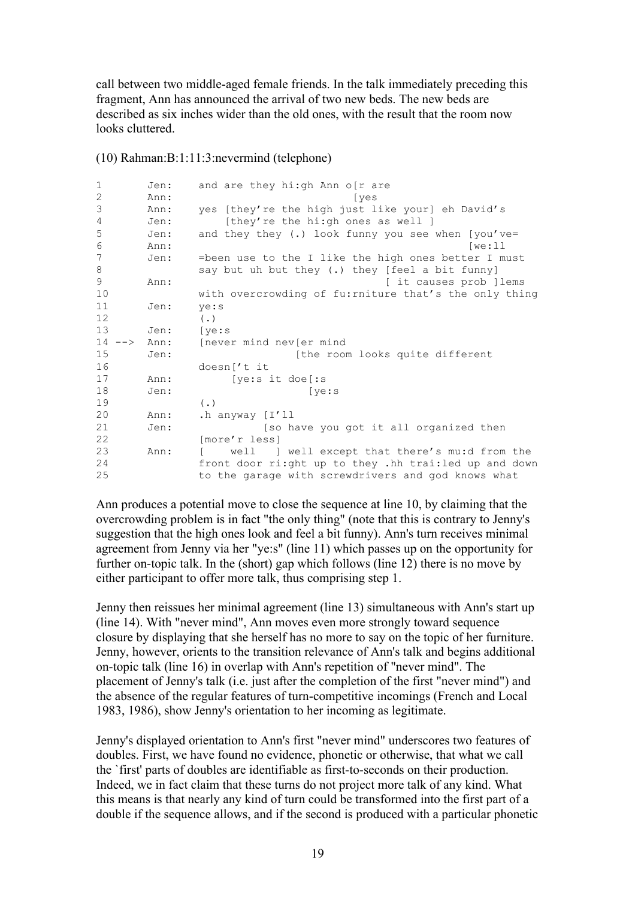call between two middle-aged female friends. In the talk immediately preceding this fragment, Ann has announced the arrival of two new beds. The new beds are described as six inches wider than the old ones, with the result that the room now looks cluttered.

| $\mathbf{1}$ | Jen: | and are they hi:gh Ann o[r are                         |
|--------------|------|--------------------------------------------------------|
| 2            | Ann: | [yes                                                   |
| 3            | Ann: | yes [they're the high just like your] eh David's       |
| 4            | Jen: | [they're the hi:gh ones as well ]                      |
| 5            | Jen: | and they they (.) look funny you see when [you've=     |
| 6            | Ann: | [we:11]                                                |
| 7            | Jen: | =been use to the I like the high ones better I must    |
| 8            |      | say but uh but they (.) they [feel a bit funny]        |
| 9            | Ann: | [ it causes prob ] lems                                |
| 10           |      | with overcrowding of fu: rniture that's the only thing |
| 11           | Jen: | ye:s                                                   |
| 12           |      | $(\cdot)$                                              |
| 13           | Jen: | [ye:s]                                                 |
| $14$ $ >$    | Ann: | never mind nev er mind                                 |
| 15           | Jen: | [the room looks quite different                        |
| 16           |      | doesn ['t it                                           |
| 17           | Ann: | [ye:s it doe[:s]                                       |
| 18           | Jen: | [ve:s]                                                 |
| 19           |      | $(\cdot)$                                              |
| 20           | Ann: | .h anyway [I'll                                        |
| 21           | Jen: | [so have you got it all organized then                 |
| 22           |      | [more'r less]                                          |
| 23           | Ann: | well ] well except that there's mu:d from the          |
| 24           |      | front door ri:ght up to they .hh trai:led up and down  |
| 25           |      | to the garage with screwdrivers and god knows what     |

(10) Rahman:B:1:11:3:nevermind (telephone)

Ann produces a potential move to close the sequence at line 10, by claiming that the overcrowding problem is in fact "the only thing" (note that this is contrary to Jenny's suggestion that the high ones look and feel a bit funny). Ann's turn receives minimal agreement from Jenny via her "ye:s" (line 11) which passes up on the opportunity for further on-topic talk. In the (short) gap which follows (line 12) there is no move by either participant to offer more talk, thus comprising step 1.

Jenny then reissues her minimal agreement (line 13) simultaneous with Ann's start up (line 14). With "never mind", Ann moves even more strongly toward sequence closure by displaying that she herself has no more to say on the topic of her furniture. Jenny, however, orients to the transition relevance of Ann's talk and begins additional on-topic talk (line 16) in overlap with Ann's repetition of "never mind". The placement of Jenny's talk (i.e. just after the completion of the first "never mind") and the absence of the regular features of turn-competitive incomings (French and Local 1983, 1986), show Jenny's orientation to her incoming as legitimate.

Jenny's displayed orientation to Ann's first "never mind" underscores two features of doubles. First, we have found no evidence, phonetic or otherwise, that what we call the `first' parts of doubles are identifiable as first-to-seconds on their production. Indeed, we in fact claim that these turns do not project more talk of any kind. What this means is that nearly any kind of turn could be transformed into the first part of a double if the sequence allows, and if the second is produced with a particular phonetic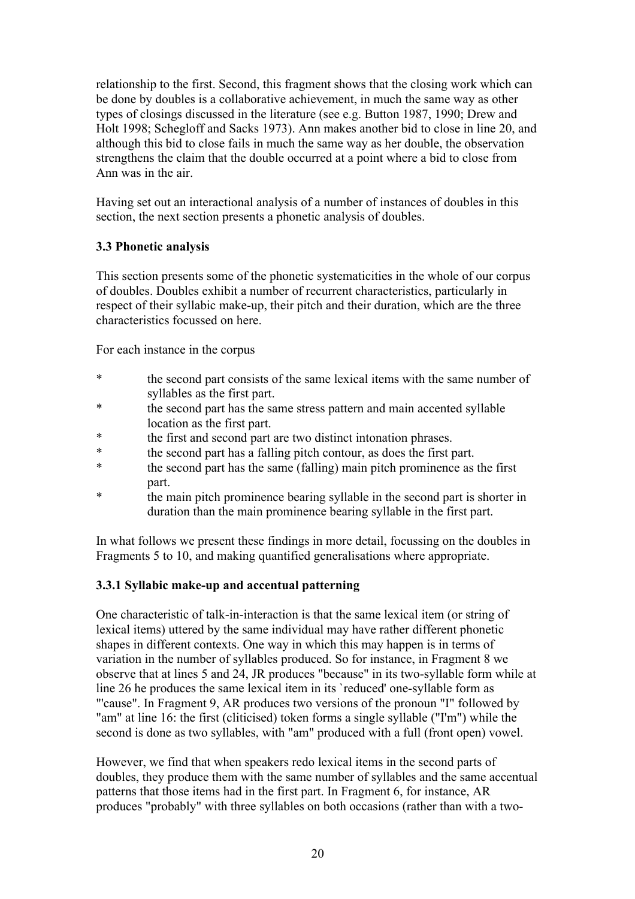relationship to the first. Second, this fragment shows that the closing work which can be done by doubles is a collaborative achievement, in much the same way as other types of closings discussed in the literature (see e.g. Button 1987, 1990; Drew and Holt 1998; Schegloff and Sacks 1973). Ann makes another bid to close in line 20, and although this bid to close fails in much the same way as her double, the observation strengthens the claim that the double occurred at a point where a bid to close from Ann was in the air.

Having set out an interactional analysis of a number of instances of doubles in this section, the next section presents a phonetic analysis of doubles.

# **3.3 Phonetic analysis**

This section presents some of the phonetic systematicities in the whole of our corpus of doubles. Doubles exhibit a number of recurrent characteristics, particularly in respect of their syllabic make-up, their pitch and their duration, which are the three characteristics focussed on here.

For each instance in the corpus

- \* the second part consists of the same lexical items with the same number of syllables as the first part.
- \* the second part has the same stress pattern and main accented syllable location as the first part.
- \* the first and second part are two distinct intonation phrases.
- \* the second part has a falling pitch contour, as does the first part.
- the second part has the same (falling) main pitch prominence as the first part.
- the main pitch prominence bearing syllable in the second part is shorter in duration than the main prominence bearing syllable in the first part.

In what follows we present these findings in more detail, focussing on the doubles in Fragments 5 to 10, and making quantified generalisations where appropriate.

## **3.3.1 Syllabic make-up and accentual patterning**

One characteristic of talk-in-interaction is that the same lexical item (or string of lexical items) uttered by the same individual may have rather different phonetic shapes in different contexts. One way in which this may happen is in terms of variation in the number of syllables produced. So for instance, in Fragment 8 we observe that at lines 5 and 24, JR produces "because" in its two-syllable form while at line 26 he produces the same lexical item in its `reduced' one-syllable form as "'cause". In Fragment 9, AR produces two versions of the pronoun "I" followed by "am" at line 16: the first (cliticised) token forms a single syllable ("I'm") while the second is done as two syllables, with "am" produced with a full (front open) vowel.

However, we find that when speakers redo lexical items in the second parts of doubles, they produce them with the same number of syllables and the same accentual patterns that those items had in the first part. In Fragment 6, for instance, AR produces "probably" with three syllables on both occasions (rather than with a two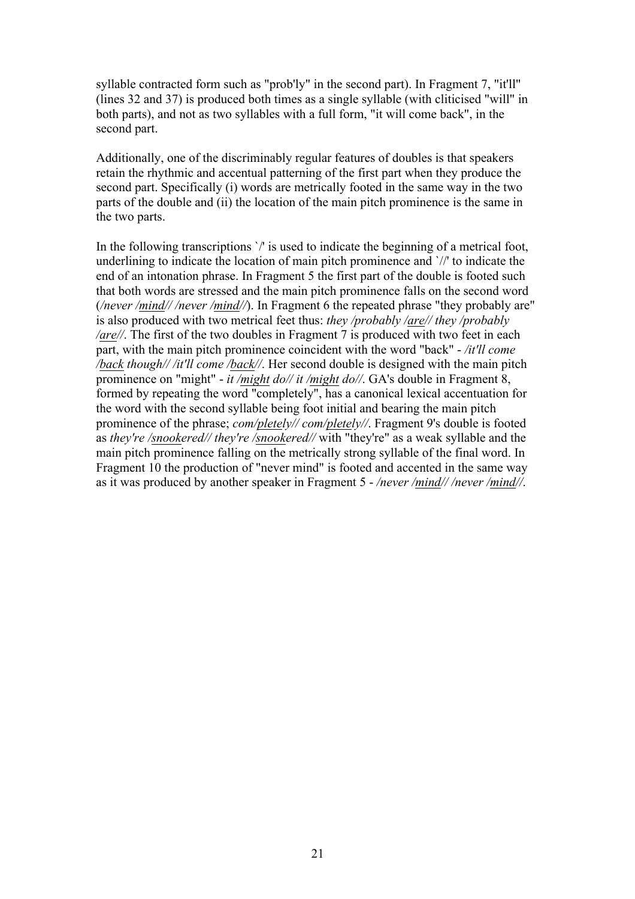syllable contracted form such as "prob'ly" in the second part). In Fragment 7, "it'll" (lines 32 and 37) is produced both times as a single syllable (with cliticised "will" in both parts), and not as two syllables with a full form, "it will come back", in the second part.

Additionally, one of the discriminably regular features of doubles is that speakers retain the rhythmic and accentual patterning of the first part when they produce the second part. Specifically (i) words are metrically footed in the same way in the two parts of the double and (ii) the location of the main pitch prominence is the same in the two parts.

In the following transcriptions  $\gamma$  is used to indicate the beginning of a metrical foot, underlining to indicate the location of main pitch prominence and `//' to indicate the end of an intonation phrase. In Fragment 5 the first part of the double is footed such that both words are stressed and the main pitch prominence falls on the second word (*/never /mind// /never /mind//*). In Fragment 6 the repeated phrase "they probably are" is also produced with two metrical feet thus: *they /probably /are// they /probably /are//*. The first of the two doubles in Fragment 7 is produced with two feet in each part, with the main pitch prominence coincident with the word "back" - */it'll come /back though// /it'll come /back//*. Her second double is designed with the main pitch prominence on "might" - *it /might do// it /might do//*. GA's double in Fragment 8, formed by repeating the word "completely", has a canonical lexical accentuation for the word with the second syllable being foot initial and bearing the main pitch prominence of the phrase; *com/pletely// com/pletely//*. Fragment 9's double is footed as *they're /snookered// they're /snookered//* with "they're" as a weak syllable and the main pitch prominence falling on the metrically strong syllable of the final word. In Fragment 10 the production of "never mind" is footed and accented in the same way as it was produced by another speaker in Fragment 5 - */never /mind// /never /mind//*.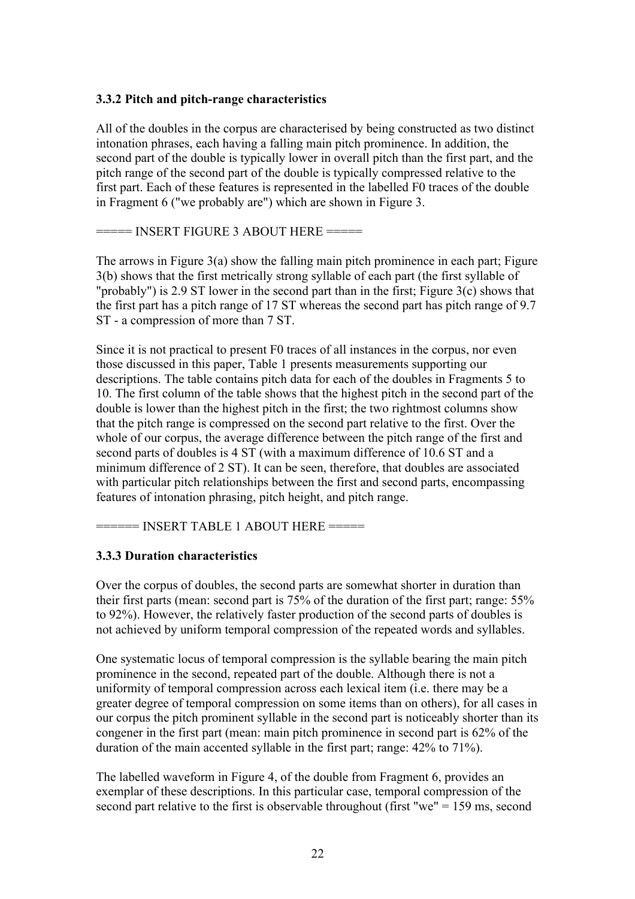## **3.3.2 Pitch and pitch-range characteristics**

All of the doubles in the corpus are characterised by being constructed as two distinct intonation phrases, each having a falling main pitch prominence. In addition, the second part of the double is typically lower in overall pitch than the first part, and the pitch range of the second part of the double is typically compressed relative to the first part. Each of these features is represented in the labelled F0 traces of the double in Fragment 6 ("we probably are") which are shown in Figure 3.

 $====$  INSERT FIGURE 3 ABOUT HERE  $==$ 

The arrows in Figure 3(a) show the falling main pitch prominence in each part; Figure 3(b) shows that the first metrically strong syllable of each part (the first syllable of "probably") is 2.9 ST lower in the second part than in the first; Figure 3(c) shows that the first part has a pitch range of 17 ST whereas the second part has pitch range of 9.7 ST - a compression of more than 7 ST.

Since it is not practical to present F0 traces of all instances in the corpus, nor even those discussed in this paper, Table 1 presents measurements supporting our descriptions. The table contains pitch data for each of the doubles in Fragments 5 to 10. The first column of the table shows that the highest pitch in the second part of the double is lower than the highest pitch in the first; the two rightmost columns show that the pitch range is compressed on the second part relative to the first. Over the whole of our corpus, the average difference between the pitch range of the first and second parts of doubles is 4 ST (with a maximum difference of 10.6 ST and a minimum difference of 2 ST). It can be seen, therefore, that doubles are associated with particular pitch relationships between the first and second parts, encompassing features of intonation phrasing, pitch height, and pitch range.

 $===$  INSERT TABLE 1 ABOUT HERE  $===$ 

## **3.3.3 Duration characteristics**

Over the corpus of doubles, the second parts are somewhat shorter in duration than their first parts (mean: second part is 75% of the duration of the first part; range: 55% to 92%). However, the relatively faster production of the second parts of doubles is not achieved by uniform temporal compression of the repeated words and syllables.

One systematic locus of temporal compression is the syllable bearing the main pitch prominence in the second, repeated part of the double. Although there is not a uniformity of temporal compression across each lexical item (i.e. there may be a greater degree of temporal compression on some items than on others), for all cases in our corpus the pitch prominent syllable in the second part is noticeably shorter than its congener in the first part (mean: main pitch prominence in second part is 62% of the duration of the main accented syllable in the first part; range: 42% to 71%).

The labelled waveform in Figure 4, of the double from Fragment 6, provides an exemplar of these descriptions. In this particular case, temporal compression of the second part relative to the first is observable throughout (first "we" = 159 ms, second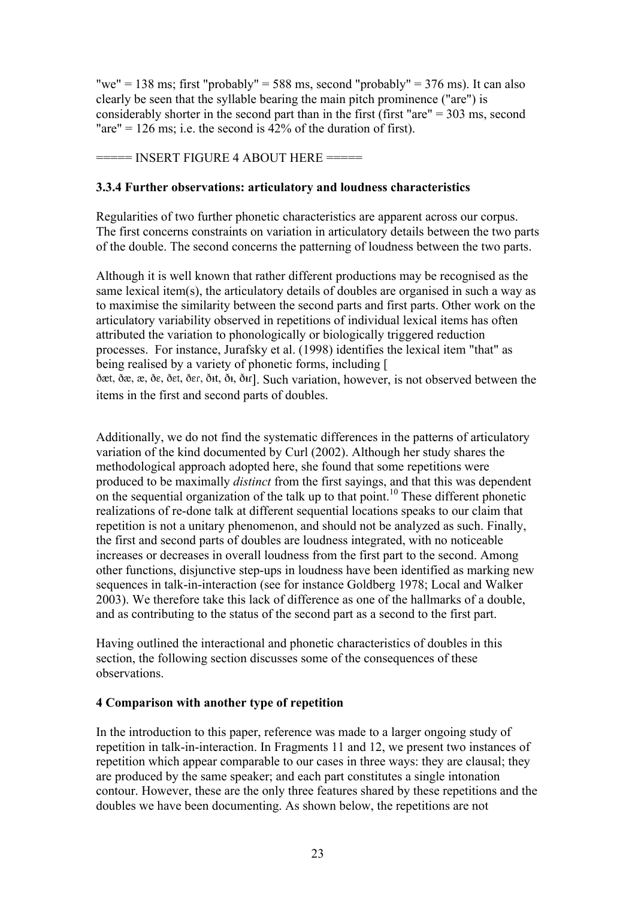"we" = 138 ms; first "probably" = 588 ms, second "probably" = 376 ms). It can also clearly be seen that the syllable bearing the main pitch prominence ("are") is considerably shorter in the second part than in the first (first "are" = 303 ms, second "are" = 126 ms; i.e. the second is  $42\%$  of the duration of first).

 $=$  INSERT FIGURE 4 ABOUT HERE  $=$ 

#### **3.3.4 Further observations: articulatory and loudness characteristics**

Regularities of two further phonetic characteristics are apparent across our corpus. The first concerns constraints on variation in articulatory details between the two parts of the double. The second concerns the patterning of loudness between the two parts.

Although it is well known that rather different productions may be recognised as the same lexical item(s), the articulatory details of doubles are organised in such a way as to maximise the similarity between the second parts and first parts. Other work on the articulatory variability observed in repetitions of individual lexical items has often attributed the variation to phonologically or biologically triggered reduction processes. For instance, Jurafsky et al. (1998) identifies the lexical item "that" as being realised by a variety of phonetic forms, including [ dæt, dæ, æ, de, det, der, dt, dt, dt, ler, Such variation, however, is not observed between the items in the first and second parts of doubles.

Additionally, we do not find the systematic differences in the patterns of articulatory variation of the kind documented by Curl (2002). Although her study shares the methodological approach adopted here, she found that some repetitions were produced to be maximally *distinct* from the first sayings, and that this was dependent on the sequential organization of the talk up to that point.<sup>10</sup> These different phonetic realizations of re-done talk at different sequential locations speaks to our claim that repetition is not a unitary phenomenon, and should not be analyzed as such. Finally, the first and second parts of doubles are loudness integrated, with no noticeable increases or decreases in overall loudness from the first part to the second. Among other functions, disjunctive step-ups in loudness have been identified as marking new sequences in talk-in-interaction (see for instance Goldberg 1978; Local and Walker 2003). We therefore take this lack of difference as one of the hallmarks of a double, and as contributing to the status of the second part as a second to the first part.

Having outlined the interactional and phonetic characteristics of doubles in this section, the following section discusses some of the consequences of these observations.

#### **4 Comparison with another type of repetition**

In the introduction to this paper, reference was made to a larger ongoing study of repetition in talk-in-interaction. In Fragments 11 and 12, we present two instances of repetition which appear comparable to our cases in three ways: they are clausal; they are produced by the same speaker; and each part constitutes a single intonation contour. However, these are the only three features shared by these repetitions and the doubles we have been documenting. As shown below, the repetitions are not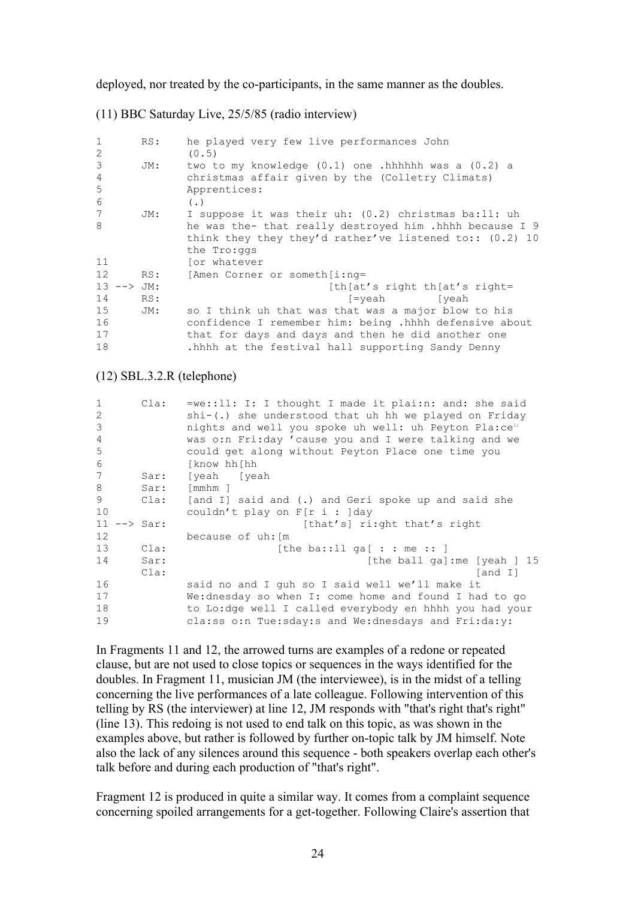deployed, nor treated by the co-participants, in the same manner as the doubles.

(11) BBC Saturday Live, 25/5/85 (radio interview)

| $\mathbf{1}$   | RS: | he played very few live performances John                 |
|----------------|-----|-----------------------------------------------------------|
| 2              |     | (0.5)                                                     |
| 3              | JM: | two to my knowledge $(0.1)$ one .hhhhhh was a $(0.2)$ a   |
| $\overline{4}$ |     | christmas affair given by the (Colletry Climats)          |
| 5              |     | Apprentices:                                              |
| 6              |     | $($ .)                                                    |
| 7              | JM: | I suppose it was their uh: (0.2) christmas ba:ll: uh      |
| 8              |     | he was the- that really destroyed him .hhhh because I 9   |
|                |     | think they they they'd rather've listened to:: $(0.2)$ 10 |
|                |     | the Tro: qqs                                              |
| 11             |     | for whatever                                              |
| 12             | RS: | [Amen Corner or someth [i:nq=                             |
| $13$ --> JM:   |     | [th [at's right th [at's right]]                          |
| 14             | RS: | [=veah<br>[veah                                           |
| 15             | JM: | so I think uh that was that was a major blow to his       |
| 16             |     | confidence I remember him: being .hhhh defensive about    |
| 17             |     | that for days and days and then he did another one        |
| 18             |     | .hhhh at the festival hall supporting Sandy Denny         |

#### (12) SBL.3.2.R (telephone)

| $\mathbf{1}$ | Cla:              | $=$ we::ll: I: I thought I made it plai:n: and: she said          |
|--------------|-------------------|-------------------------------------------------------------------|
| 2            |                   | shi-(.) she understood that uh hh we played on Friday             |
| 3            |                   | nights and well you spoke uh well: uh Peyton Pla:ce <sup>11</sup> |
| 4            |                   | was o:n Fri:day 'cause you and I were talking and we              |
| 5            |                   | could get along without Peyton Place one time you                 |
| 6            |                   | [know hh[hh                                                       |
| 7            | Sar:              | [yeah [yeah                                                       |
| 8            | Sar:              | $\lceil mmhm \rceil$                                              |
| 9            | Cla:              | [and I] said and (.) and Geri spoke up and said she               |
| 10           |                   | couldn't play on $F[r \, i : ]day$                                |
| 11           | $\leftarrow$ Sar: | [that's] ri:ght that's right                                      |
| 12           |                   | because of uh: [m                                                 |
| 13           | Cla:              | [the ba::11 ga[ : : me :: ]                                       |
| 14           | Sar:              | [the ball ga]: me [yeah ] $15$                                    |
|              | Cla:              | [and I]                                                           |
| 16           |                   | said no and I quh so I said well we'll make it                    |
| 17           |                   | We:dnesday so when I: come home and found I had to go             |
| 18           |                   | to Lo:dge well I called everybody en hhhh you had your            |
| 19           |                   | cla:ss o:n Tue:sday:s and We:dnesdays and Fri:da:y:               |

In Fragments 11 and 12, the arrowed turns are examples of a redone or repeated clause, but are not used to close topics or sequences in the ways identified for the doubles. In Fragment 11, musician JM (the interviewee), is in the midst of a telling concerning the live performances of a late colleague. Following intervention of this telling by RS (the interviewer) at line 12, JM responds with "that's right that's right" (line 13). This redoing is not used to end talk on this topic, as was shown in the examples above, but rather is followed by further on-topic talk by JM himself. Note also the lack of any silences around this sequence - both speakers overlap each other's talk before and during each production of "that's right".

Fragment 12 is produced in quite a similar way. It comes from a complaint sequence concerning spoiled arrangements for a get-together. Following Claire's assertion that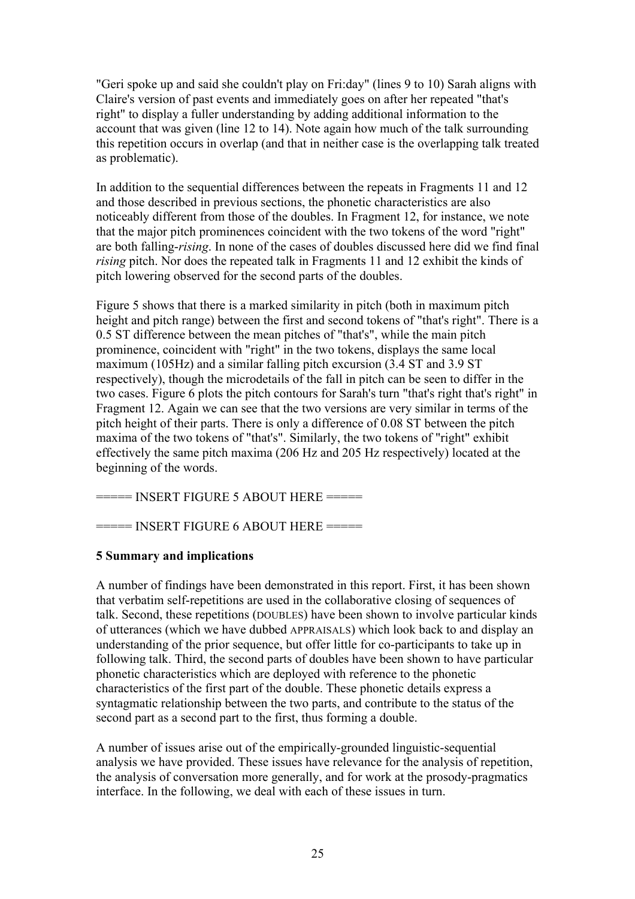"Geri spoke up and said she couldn't play on Fri:day" (lines 9 to 10) Sarah aligns with Claire's version of past events and immediately goes on after her repeated "that's right" to display a fuller understanding by adding additional information to the account that was given (line 12 to 14). Note again how much of the talk surrounding this repetition occurs in overlap (and that in neither case is the overlapping talk treated as problematic).

In addition to the sequential differences between the repeats in Fragments 11 and 12 and those described in previous sections, the phonetic characteristics are also noticeably different from those of the doubles. In Fragment 12, for instance, we note that the major pitch prominences coincident with the two tokens of the word "right" are both falling-*rising*. In none of the cases of doubles discussed here did we find final *rising* pitch. Nor does the repeated talk in Fragments 11 and 12 exhibit the kinds of pitch lowering observed for the second parts of the doubles.

Figure 5 shows that there is a marked similarity in pitch (both in maximum pitch height and pitch range) between the first and second tokens of "that's right". There is a 0.5 ST difference between the mean pitches of "that's", while the main pitch prominence, coincident with "right" in the two tokens, displays the same local maximum (105Hz) and a similar falling pitch excursion (3.4 ST and 3.9 ST respectively), though the microdetails of the fall in pitch can be seen to differ in the two cases. Figure 6 plots the pitch contours for Sarah's turn "that's right that's right" in Fragment 12. Again we can see that the two versions are very similar in terms of the pitch height of their parts. There is only a difference of 0.08 ST between the pitch maxima of the two tokens of "that's". Similarly, the two tokens of "right" exhibit effectively the same pitch maxima (206 Hz and 205 Hz respectively) located at the beginning of the words.

===== INSERT FIGURE 5 ABOUT HERE =====

====== INSERT FIGURE 6 ABOUT HERE =====

# **5 Summary and implications**

A number of findings have been demonstrated in this report. First, it has been shown that verbatim self-repetitions are used in the collaborative closing of sequences of talk. Second, these repetitions (DOUBLES) have been shown to involve particular kinds of utterances (which we have dubbed APPRAISALS) which look back to and display an understanding of the prior sequence, but offer little for co-participants to take up in following talk. Third, the second parts of doubles have been shown to have particular phonetic characteristics which are deployed with reference to the phonetic characteristics of the first part of the double. These phonetic details express a syntagmatic relationship between the two parts, and contribute to the status of the second part as a second part to the first, thus forming a double.

A number of issues arise out of the empirically-grounded linguistic-sequential analysis we have provided. These issues have relevance for the analysis of repetition, the analysis of conversation more generally, and for work at the prosody-pragmatics interface. In the following, we deal with each of these issues in turn.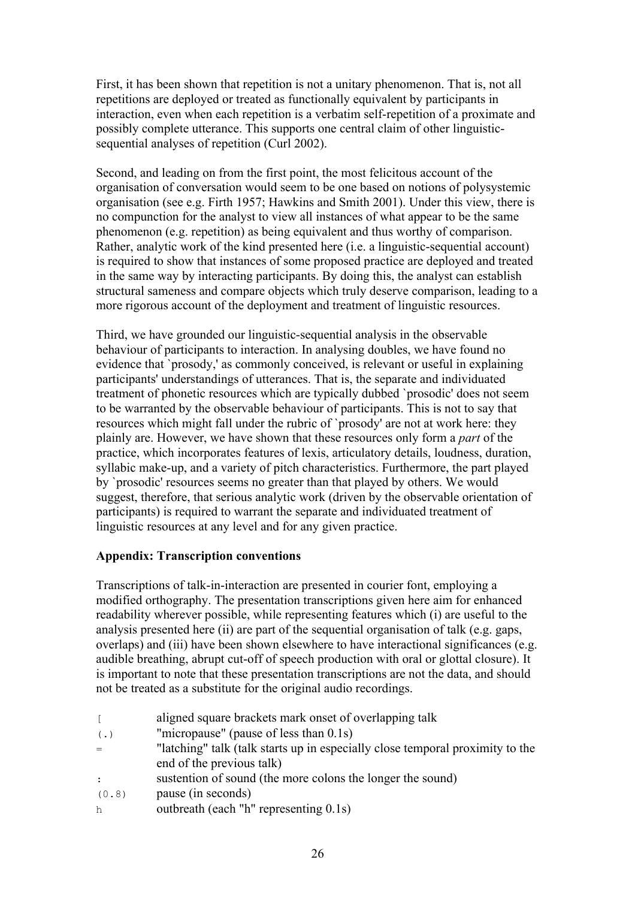First, it has been shown that repetition is not a unitary phenomenon. That is, not all repetitions are deployed or treated as functionally equivalent by participants in interaction, even when each repetition is a verbatim self-repetition of a proximate and possibly complete utterance. This supports one central claim of other linguisticsequential analyses of repetition (Curl 2002).

Second, and leading on from the first point, the most felicitous account of the organisation of conversation would seem to be one based on notions of polysystemic organisation (see e.g. Firth 1957; Hawkins and Smith 2001). Under this view, there is no compunction for the analyst to view all instances of what appear to be the same phenomenon (e.g. repetition) as being equivalent and thus worthy of comparison. Rather, analytic work of the kind presented here (i.e. a linguistic-sequential account) is required to show that instances of some proposed practice are deployed and treated in the same way by interacting participants. By doing this, the analyst can establish structural sameness and compare objects which truly deserve comparison, leading to a more rigorous account of the deployment and treatment of linguistic resources.

Third, we have grounded our linguistic-sequential analysis in the observable behaviour of participants to interaction. In analysing doubles, we have found no evidence that `prosody,' as commonly conceived, is relevant or useful in explaining participants' understandings of utterances. That is, the separate and individuated treatment of phonetic resources which are typically dubbed `prosodic' does not seem to be warranted by the observable behaviour of participants. This is not to say that resources which might fall under the rubric of `prosody' are not at work here: they plainly are. However, we have shown that these resources only form a *part* of the practice, which incorporates features of lexis, articulatory details, loudness, duration, syllabic make-up, and a variety of pitch characteristics. Furthermore, the part played by `prosodic' resources seems no greater than that played by others. We would suggest, therefore, that serious analytic work (driven by the observable orientation of participants) is required to warrant the separate and individuated treatment of linguistic resources at any level and for any given practice.

# **Appendix: Transcription conventions**

Transcriptions of talk-in-interaction are presented in courier font, employing a modified orthography. The presentation transcriptions given here aim for enhanced readability wherever possible, while representing features which (i) are useful to the analysis presented here (ii) are part of the sequential organisation of talk (e.g. gaps, overlaps) and (iii) have been shown elsewhere to have interactional significances (e.g. audible breathing, abrupt cut-off of speech production with oral or glottal closure). It is important to note that these presentation transcriptions are not the data, and should not be treated as a substitute for the original audio recordings.

[ aligned square brackets mark onset of overlapping talk (.) "micropause" (pause of less than 0.1s) = "latching" talk (talk starts up in especially close temporal proximity to the end of the previous talk) : sustention of sound (the more colons the longer the sound) (0.8) pause (in seconds) h outbreath (each "h" representing 0.1s)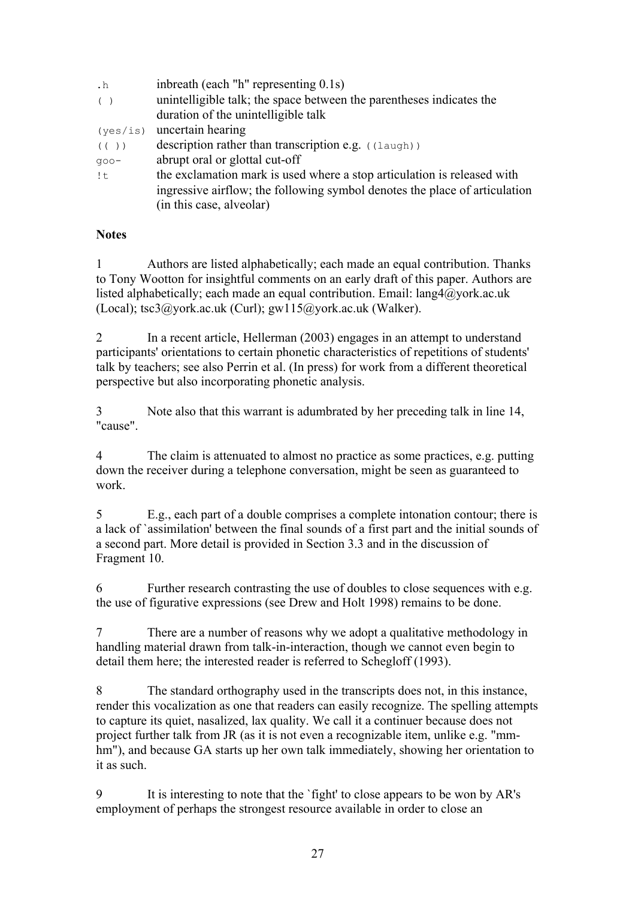| $\cdot$ h | inbreath (each "h" representing 0.1s)                                      |
|-----------|----------------------------------------------------------------------------|
| $($ )     | unintelligible talk; the space between the parentheses indicates the       |
|           | duration of the unintelligible talk                                        |
| (yes/is)  | uncertain hearing                                                          |
| (() )     | description rather than transcription e.g. $($ $(\text{la }u)$ )           |
| $qoo-$    | abrupt oral or glottal cut-off                                             |
| !t        | the exclamation mark is used where a stop articulation is released with    |
|           | ingressive airflow; the following symbol denotes the place of articulation |
|           | (in this case, alveolar)                                                   |
|           |                                                                            |

## **Notes**

1 Authors are listed alphabetically; each made an equal contribution. Thanks to Tony Wootton for insightful comments on an early draft of this paper. Authors are listed alphabetically; each made an equal contribution. Email: lang4@york.ac.uk (Local); tsc3@york.ac.uk (Curl); gw115@york.ac.uk (Walker).

2 In a recent article, Hellerman (2003) engages in an attempt to understand participants' orientations to certain phonetic characteristics of repetitions of students' talk by teachers; see also Perrin et al. (In press) for work from a different theoretical perspective but also incorporating phonetic analysis.

3 Note also that this warrant is adumbrated by her preceding talk in line 14, "cause".

4 The claim is attenuated to almost no practice as some practices, e.g. putting down the receiver during a telephone conversation, might be seen as guaranteed to work.

5 E.g., each part of a double comprises a complete intonation contour; there is a lack of `assimilation' between the final sounds of a first part and the initial sounds of a second part. More detail is provided in Section 3.3 and in the discussion of Fragment 10.

6 Further research contrasting the use of doubles to close sequences with e.g. the use of figurative expressions (see Drew and Holt 1998) remains to be done.

7 There are a number of reasons why we adopt a qualitative methodology in handling material drawn from talk-in-interaction, though we cannot even begin to detail them here; the interested reader is referred to Schegloff (1993).

8 The standard orthography used in the transcripts does not, in this instance, render this vocalization as one that readers can easily recognize. The spelling attempts to capture its quiet, nasalized, lax quality. We call it a continuer because does not project further talk from JR (as it is not even a recognizable item, unlike e.g. "mmhm"), and because GA starts up her own talk immediately, showing her orientation to it as such.

9 It is interesting to note that the `fight' to close appears to be won by AR's employment of perhaps the strongest resource available in order to close an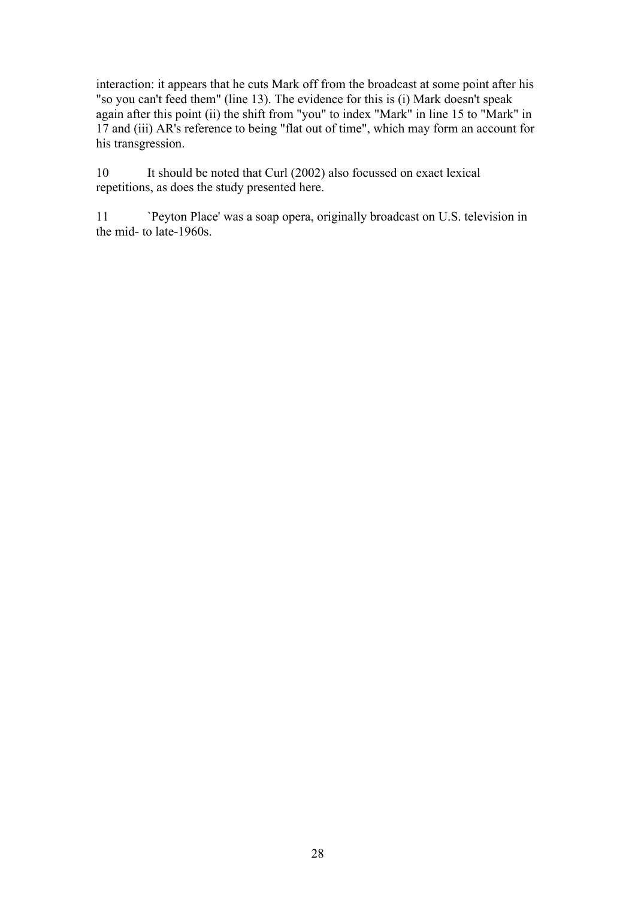interaction: it appears that he cuts Mark off from the broadcast at some point after his "so you can't feed them" (line 13). The evidence for this is (i) Mark doesn't speak again after this point (ii) the shift from "you" to index "Mark" in line 15 to "Mark" in 17 and (iii) AR's reference to being "flat out of time", which may form an account for his transgression.

10 It should be noted that Curl (2002) also focussed on exact lexical repetitions, as does the study presented here.

11 `Peyton Place' was a soap opera, originally broadcast on U.S. television in the mid- to late-1960s.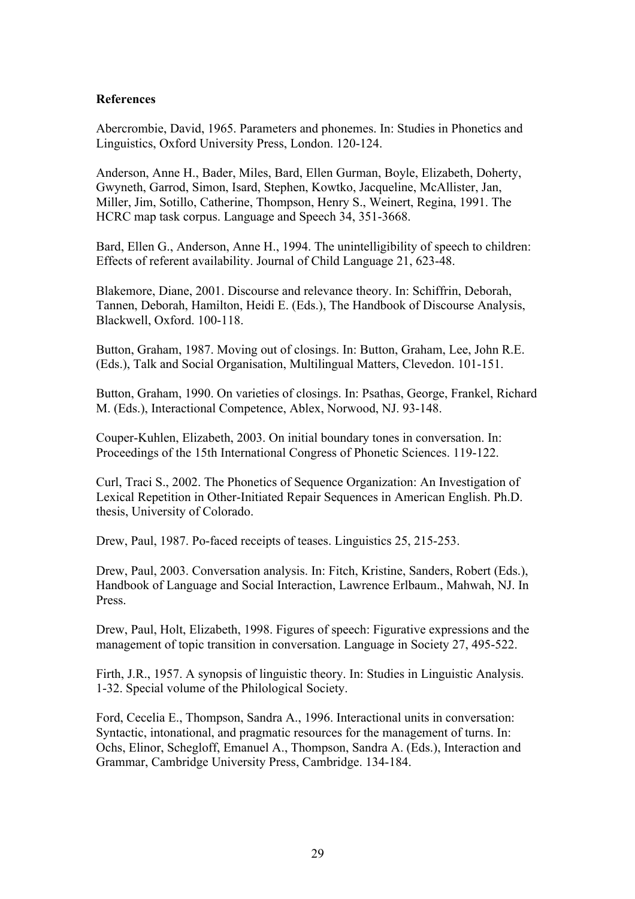#### **References**

Abercrombie, David, 1965. Parameters and phonemes. In: Studies in Phonetics and Linguistics, Oxford University Press, London. 120-124.

Anderson, Anne H., Bader, Miles, Bard, Ellen Gurman, Boyle, Elizabeth, Doherty, Gwyneth, Garrod, Simon, Isard, Stephen, Kowtko, Jacqueline, McAllister, Jan, Miller, Jim, Sotillo, Catherine, Thompson, Henry S., Weinert, Regina, 1991. The HCRC map task corpus. Language and Speech 34, 351-3668.

Bard, Ellen G., Anderson, Anne H., 1994. The unintelligibility of speech to children: Effects of referent availability. Journal of Child Language 21, 623-48.

Blakemore, Diane, 2001. Discourse and relevance theory. In: Schiffrin, Deborah, Tannen, Deborah, Hamilton, Heidi E. (Eds.), The Handbook of Discourse Analysis, Blackwell, Oxford. 100-118.

Button, Graham, 1987. Moving out of closings. In: Button, Graham, Lee, John R.E. (Eds.), Talk and Social Organisation, Multilingual Matters, Clevedon. 101-151.

Button, Graham, 1990. On varieties of closings. In: Psathas, George, Frankel, Richard M. (Eds.), Interactional Competence, Ablex, Norwood, NJ. 93-148.

Couper-Kuhlen, Elizabeth, 2003. On initial boundary tones in conversation. In: Proceedings of the 15th International Congress of Phonetic Sciences. 119-122.

Curl, Traci S., 2002. The Phonetics of Sequence Organization: An Investigation of Lexical Repetition in Other-Initiated Repair Sequences in American English. Ph.D. thesis, University of Colorado.

Drew, Paul, 1987. Po-faced receipts of teases. Linguistics 25, 215-253.

Drew, Paul, 2003. Conversation analysis. In: Fitch, Kristine, Sanders, Robert (Eds.), Handbook of Language and Social Interaction, Lawrence Erlbaum., Mahwah, NJ. In Press.

Drew, Paul, Holt, Elizabeth, 1998. Figures of speech: Figurative expressions and the management of topic transition in conversation. Language in Society 27, 495-522.

Firth, J.R., 1957. A synopsis of linguistic theory. In: Studies in Linguistic Analysis. 1-32. Special volume of the Philological Society.

Ford, Cecelia E., Thompson, Sandra A., 1996. Interactional units in conversation: Syntactic, intonational, and pragmatic resources for the management of turns. In: Ochs, Elinor, Schegloff, Emanuel A., Thompson, Sandra A. (Eds.), Interaction and Grammar, Cambridge University Press, Cambridge. 134-184.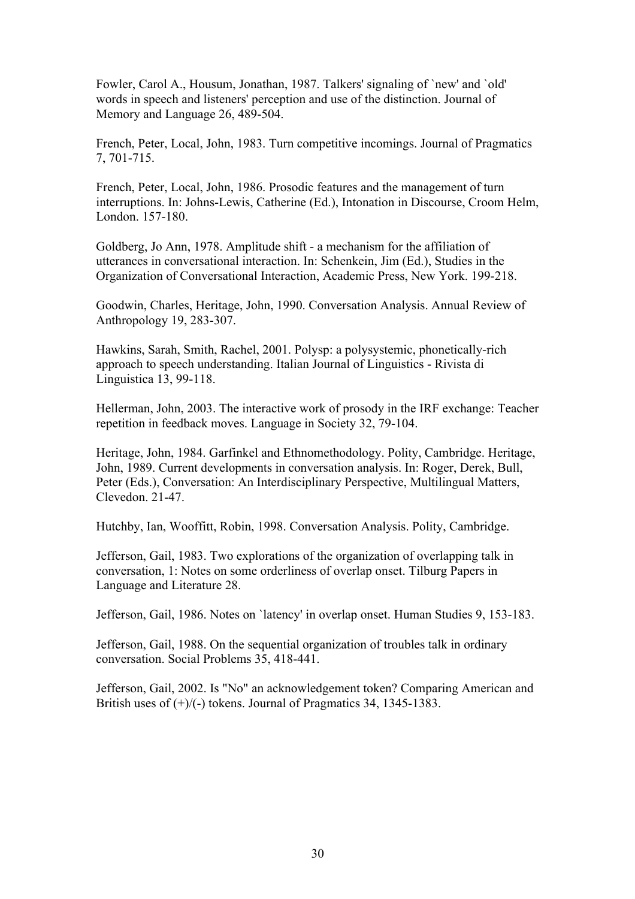Fowler, Carol A., Housum, Jonathan, 1987. Talkers' signaling of `new' and `old' words in speech and listeners' perception and use of the distinction. Journal of Memory and Language 26, 489-504.

French, Peter, Local, John, 1983. Turn competitive incomings. Journal of Pragmatics 7, 701-715.

French, Peter, Local, John, 1986. Prosodic features and the management of turn interruptions. In: Johns-Lewis, Catherine (Ed.), Intonation in Discourse, Croom Helm, London. 157-180.

Goldberg, Jo Ann, 1978. Amplitude shift - a mechanism for the affiliation of utterances in conversational interaction. In: Schenkein, Jim (Ed.), Studies in the Organization of Conversational Interaction, Academic Press, New York. 199-218.

Goodwin, Charles, Heritage, John, 1990. Conversation Analysis. Annual Review of Anthropology 19, 283-307.

Hawkins, Sarah, Smith, Rachel, 2001. Polysp: a polysystemic, phonetically-rich approach to speech understanding. Italian Journal of Linguistics - Rivista di Linguistica 13, 99-118.

Hellerman, John, 2003. The interactive work of prosody in the IRF exchange: Teacher repetition in feedback moves. Language in Society 32, 79-104.

Heritage, John, 1984. Garfinkel and Ethnomethodology. Polity, Cambridge. Heritage, John, 1989. Current developments in conversation analysis. In: Roger, Derek, Bull, Peter (Eds.), Conversation: An Interdisciplinary Perspective, Multilingual Matters, Clevedon. 21-47.

Hutchby, Ian, Wooffitt, Robin, 1998. Conversation Analysis. Polity, Cambridge.

Jefferson, Gail, 1983. Two explorations of the organization of overlapping talk in conversation, 1: Notes on some orderliness of overlap onset. Tilburg Papers in Language and Literature 28.

Jefferson, Gail, 1986. Notes on `latency' in overlap onset. Human Studies 9, 153-183.

Jefferson, Gail, 1988. On the sequential organization of troubles talk in ordinary conversation. Social Problems 35, 418-441.

Jefferson, Gail, 2002. Is "No" an acknowledgement token? Comparing American and British uses of  $(+)/(-)$  tokens. Journal of Pragmatics 34, 1345-1383.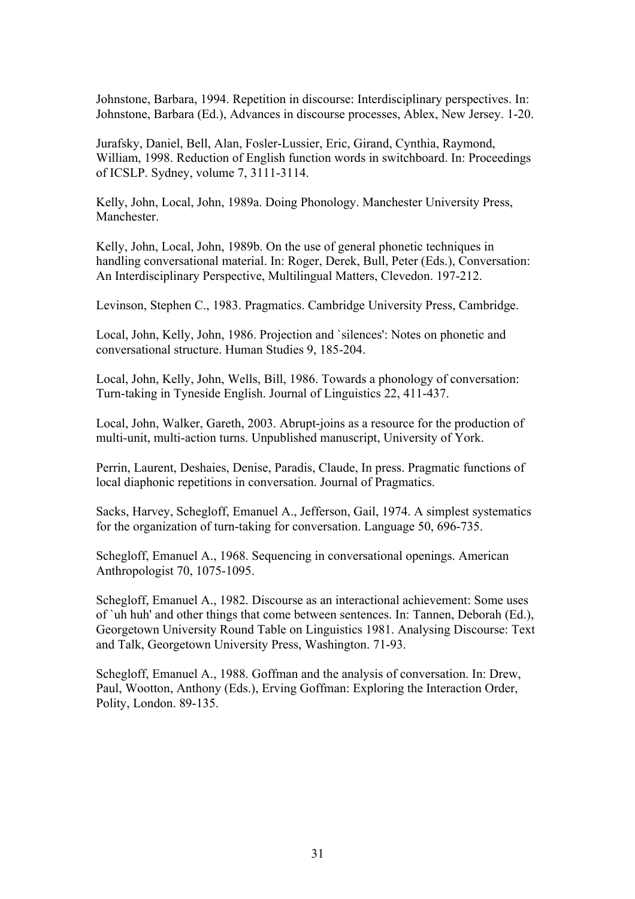Johnstone, Barbara, 1994. Repetition in discourse: Interdisciplinary perspectives. In: Johnstone, Barbara (Ed.), Advances in discourse processes, Ablex, New Jersey. 1-20.

Jurafsky, Daniel, Bell, Alan, Fosler-Lussier, Eric, Girand, Cynthia, Raymond, William, 1998. Reduction of English function words in switchboard. In: Proceedings of ICSLP. Sydney, volume 7, 3111-3114.

Kelly, John, Local, John, 1989a. Doing Phonology. Manchester University Press, Manchester.

Kelly, John, Local, John, 1989b. On the use of general phonetic techniques in handling conversational material. In: Roger, Derek, Bull, Peter (Eds.), Conversation: An Interdisciplinary Perspective, Multilingual Matters, Clevedon. 197-212.

Levinson, Stephen C., 1983. Pragmatics. Cambridge University Press, Cambridge.

Local, John, Kelly, John, 1986. Projection and `silences': Notes on phonetic and conversational structure. Human Studies 9, 185-204.

Local, John, Kelly, John, Wells, Bill, 1986. Towards a phonology of conversation: Turn-taking in Tyneside English. Journal of Linguistics 22, 411-437.

Local, John, Walker, Gareth, 2003. Abrupt-joins as a resource for the production of multi-unit, multi-action turns. Unpublished manuscript, University of York.

Perrin, Laurent, Deshaies, Denise, Paradis, Claude, In press. Pragmatic functions of local diaphonic repetitions in conversation. Journal of Pragmatics.

Sacks, Harvey, Schegloff, Emanuel A., Jefferson, Gail, 1974. A simplest systematics for the organization of turn-taking for conversation. Language 50, 696-735.

Schegloff, Emanuel A., 1968. Sequencing in conversational openings. American Anthropologist 70, 1075-1095.

Schegloff, Emanuel A., 1982. Discourse as an interactional achievement: Some uses of `uh huh' and other things that come between sentences. In: Tannen, Deborah (Ed.), Georgetown University Round Table on Linguistics 1981. Analysing Discourse: Text and Talk, Georgetown University Press, Washington. 71-93.

Schegloff, Emanuel A., 1988. Goffman and the analysis of conversation. In: Drew, Paul, Wootton, Anthony (Eds.), Erving Goffman: Exploring the Interaction Order, Polity, London. 89-135.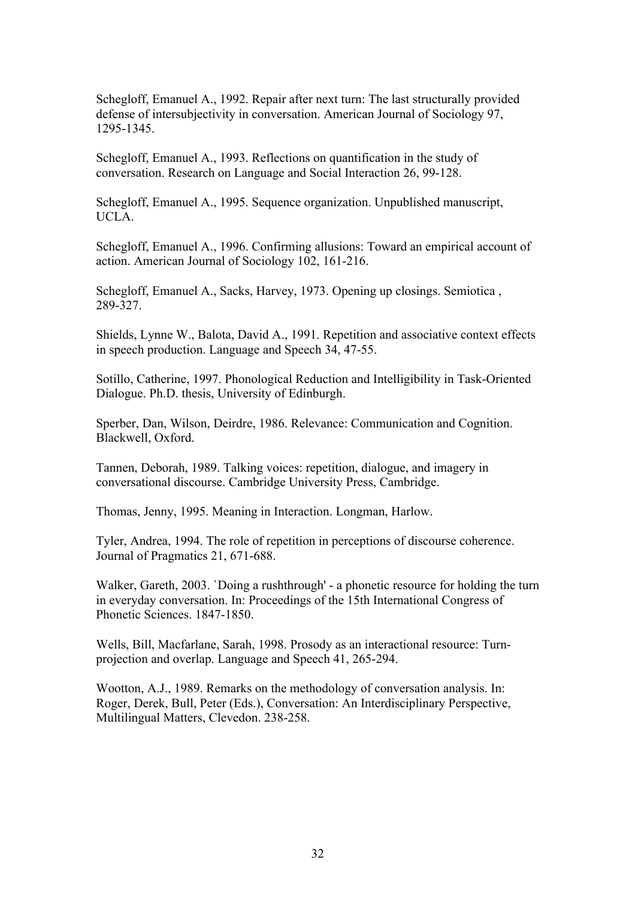Schegloff, Emanuel A., 1992. Repair after next turn: The last structurally provided defense of intersubjectivity in conversation. American Journal of Sociology 97, 1295-1345.

Schegloff, Emanuel A., 1993. Reflections on quantification in the study of conversation. Research on Language and Social Interaction 26, 99-128.

Schegloff, Emanuel A., 1995. Sequence organization. Unpublished manuscript, UCLA.

Schegloff, Emanuel A., 1996. Confirming allusions: Toward an empirical account of action. American Journal of Sociology 102, 161-216.

Schegloff, Emanuel A., Sacks, Harvey, 1973. Opening up closings. Semiotica , 289-327.

Shields, Lynne W., Balota, David A., 1991. Repetition and associative context effects in speech production. Language and Speech 34, 47-55.

Sotillo, Catherine, 1997. Phonological Reduction and Intelligibility in Task-Oriented Dialogue. Ph.D. thesis, University of Edinburgh.

Sperber, Dan, Wilson, Deirdre, 1986. Relevance: Communication and Cognition. Blackwell, Oxford.

Tannen, Deborah, 1989. Talking voices: repetition, dialogue, and imagery in conversational discourse. Cambridge University Press, Cambridge.

Thomas, Jenny, 1995. Meaning in Interaction. Longman, Harlow.

Tyler, Andrea, 1994. The role of repetition in perceptions of discourse coherence. Journal of Pragmatics 21, 671-688.

Walker, Gareth, 2003. `Doing a rushthrough' - a phonetic resource for holding the turn in everyday conversation. In: Proceedings of the 15th International Congress of Phonetic Sciences. 1847-1850.

Wells, Bill, Macfarlane, Sarah, 1998. Prosody as an interactional resource: Turnprojection and overlap. Language and Speech 41, 265-294.

Wootton, A.J., 1989. Remarks on the methodology of conversation analysis. In: Roger, Derek, Bull, Peter (Eds.), Conversation: An Interdisciplinary Perspective, Multilingual Matters, Clevedon. 238-258.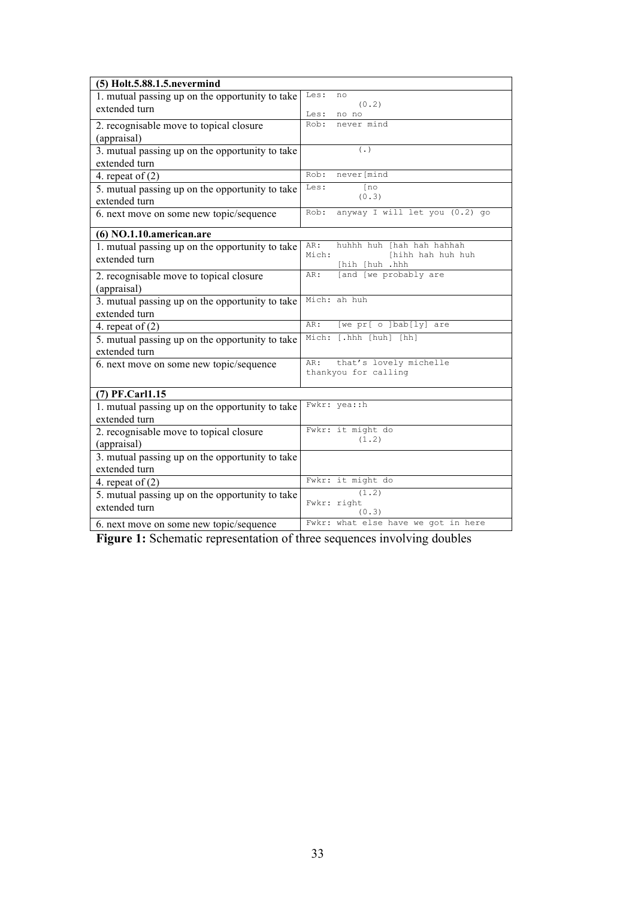| (5) Holt.5.88.1.5.nevermind                                      |                                        |
|------------------------------------------------------------------|----------------------------------------|
| 1. mutual passing up on the opportunity to take                  | Les:<br>no                             |
| extended turn                                                    | (0.2)                                  |
|                                                                  | Les:<br>no no<br>Rob:<br>never mind    |
| 2. recognisable move to topical closure                          |                                        |
| (appraisal)                                                      |                                        |
| 3. mutual passing up on the opportunity to take                  | $(\cdot)$                              |
| extended turn                                                    |                                        |
| 4. repeat of $(2)$                                               | Rob:<br>never[mind                     |
| 5. mutual passing up on the opportunity to take                  | Les:<br>$\lceil n \circ$<br>(0.3)      |
| extended turn                                                    |                                        |
| 6. next move on some new topic/sequence                          | anyway I will let you (0.2) go<br>Rob: |
| (6) NO.1.10.american.are                                         |                                        |
|                                                                  | AR:<br>huhhh huh [hah hah hahhah       |
| 1. mutual passing up on the opportunity to take                  | Mich:<br>[hihh hah huh huh             |
| extended turn                                                    | [hih [huh .hhh                         |
| 2. recognisable move to topical closure                          | [and [we probably are<br>AR:           |
| (appraisal)                                                      |                                        |
| 3. mutual passing up on the opportunity to take                  | Mich: ah huh                           |
| extended turn                                                    |                                        |
| 4. repeat of $(2)$                                               | [we pr[ o ]bab[ly] are<br>AR:          |
| 5. mutual passing up on the opportunity to take                  | Mich: [.hhh [huh] [hh]                 |
| extended turn                                                    |                                        |
| 6. next move on some new topic/sequence                          | that's lovely michelle<br>AR:          |
|                                                                  | thankyou for calling                   |
| (7) PF.Carl1.15                                                  |                                        |
|                                                                  | Fwkr: yea: : h                         |
| 1. mutual passing up on the opportunity to take<br>extended turn |                                        |
|                                                                  | Fwkr: it might do                      |
| 2. recognisable move to topical closure                          | (1.2)                                  |
| (appraisal)                                                      |                                        |
| 3. mutual passing up on the opportunity to take                  |                                        |
| extended turn                                                    |                                        |
| 4. repeat of $(2)$                                               | Fwkr: it might do                      |
| 5. mutual passing up on the opportunity to take                  | (1.2)<br>Fwkr: right                   |
| extended turn                                                    | (0.3)                                  |
| 6. next move on some new topic/sequence                          | Fwkr: what else have we got in here    |

**Figure 1:** Schematic representation of three sequences involving doubles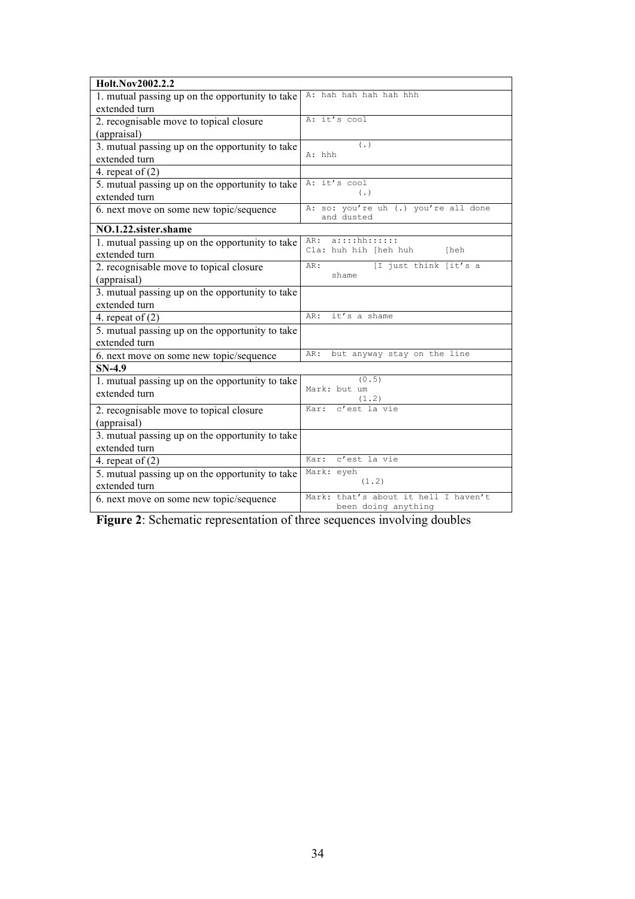| Holt.Nov2002.2.2                                |                                                    |  |  |  |
|-------------------------------------------------|----------------------------------------------------|--|--|--|
| 1. mutual passing up on the opportunity to take | A: hah hah hah hah hhh                             |  |  |  |
| extended turn                                   |                                                    |  |  |  |
| 2. recognisable move to topical closure         | A: it's cool                                       |  |  |  |
| (appraisal)                                     |                                                    |  |  |  |
| 3. mutual passing up on the opportunity to take | $(\cdot, \cdot)$                                   |  |  |  |
| extended turn                                   | A: hhh                                             |  |  |  |
| 4. repeat of $(2)$                              |                                                    |  |  |  |
| 5. mutual passing up on the opportunity to take | A: it's cool<br>$(\cdot, \cdot)$                   |  |  |  |
| extended turn                                   |                                                    |  |  |  |
| 6. next move on some new topic/sequence         | A: so: you're uh (.) you're all done<br>and dusted |  |  |  |
| NO.1.22.sister.shame                            |                                                    |  |  |  |
| 1. mutual passing up on the opportunity to take | $a$ ::::hh::::::<br>AR:                            |  |  |  |
| extended turn                                   | Cla: huh hih [heh huh<br>[heh                      |  |  |  |
| 2. recognisable move to topical closure         | [I just think [it's a<br>AR:                       |  |  |  |
| (appraisal)                                     | shame                                              |  |  |  |
| 3. mutual passing up on the opportunity to take |                                                    |  |  |  |
| extended turn                                   |                                                    |  |  |  |
| 4. repeat of $(2)$                              | it's a shame<br>AR:                                |  |  |  |
| 5. mutual passing up on the opportunity to take |                                                    |  |  |  |
| extended turn                                   |                                                    |  |  |  |
| 6. next move on some new topic/sequence         | but anyway stay on the line<br>AR:                 |  |  |  |
| $SN-4.9$                                        |                                                    |  |  |  |
| 1. mutual passing up on the opportunity to take | (0.5)<br>Mark: but um                              |  |  |  |
| extended turn                                   | (1.2)                                              |  |  |  |
| 2. recognisable move to topical closure         | c'est la vie<br>Kar:                               |  |  |  |
| (appraisal)                                     |                                                    |  |  |  |
| 3. mutual passing up on the opportunity to take |                                                    |  |  |  |
| extended turn                                   |                                                    |  |  |  |
| 4. repeat of $(2)$                              | c'est la vie<br>Kar:                               |  |  |  |
| 5. mutual passing up on the opportunity to take | Mark: eyeh                                         |  |  |  |
| extended turn                                   | (1, 2)                                             |  |  |  |
| 6. next move on some new topic/sequence         | Mark: that's about it hell I haven't               |  |  |  |
|                                                 | been doing anything                                |  |  |  |

**Figure 2**: Schematic representation of three sequences involving doubles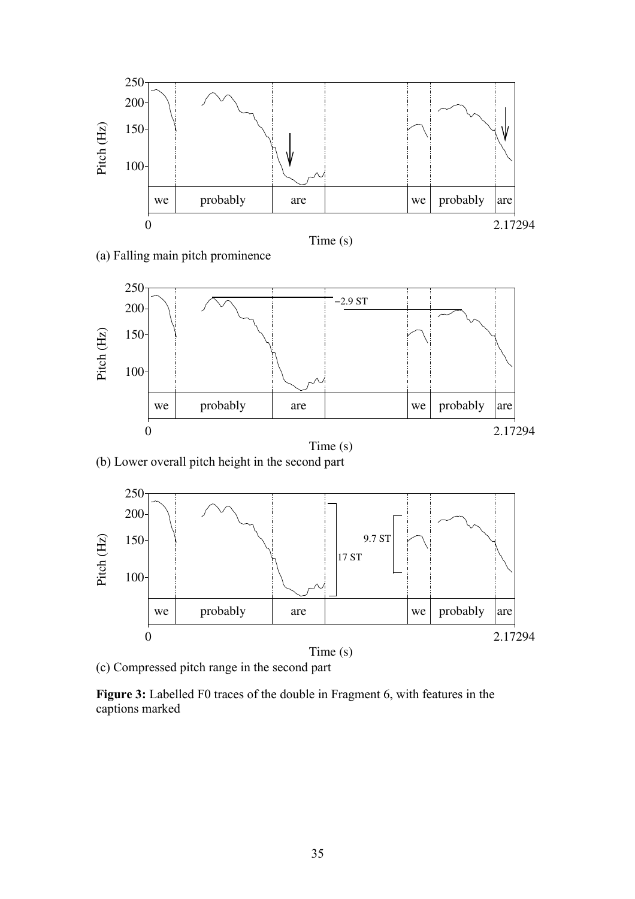





(b) Lower overall pitch height in the second part



(c) Compressed pitch range in the second part

**Figure 3:** Labelled F0 traces of the double in Fragment 6, with features in the captions marked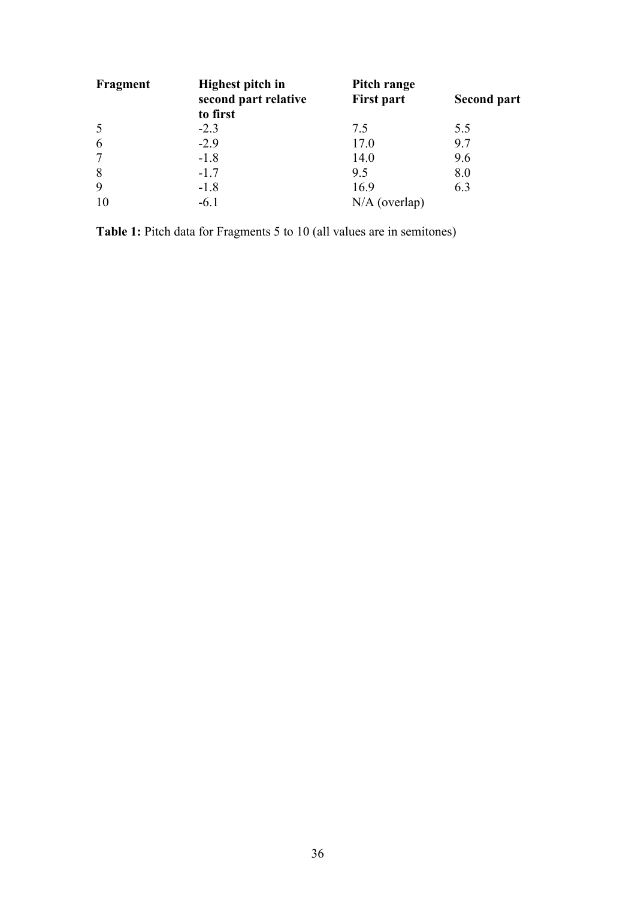| Fragment       | Highest pitch in<br>second part relative<br>to first | Pitch range<br><b>First part</b> | <b>Second part</b> |
|----------------|------------------------------------------------------|----------------------------------|--------------------|
| 5              | $-2.3$                                               | 7.5                              | 5.5                |
| 6              | $-2.9$                                               | 17.0                             | 9.7                |
| $\overline{7}$ | $-1.8$                                               | 14.0                             | 9.6                |
| 8              | $-1.7$                                               | 9.5                              | 8.0                |
| 9              | $-1.8$                                               | 16.9                             | 6.3                |
| 10             | $-6.1$                                               | $N/A$ (overlap)                  |                    |

**Table 1:** Pitch data for Fragments 5 to 10 (all values are in semitones)